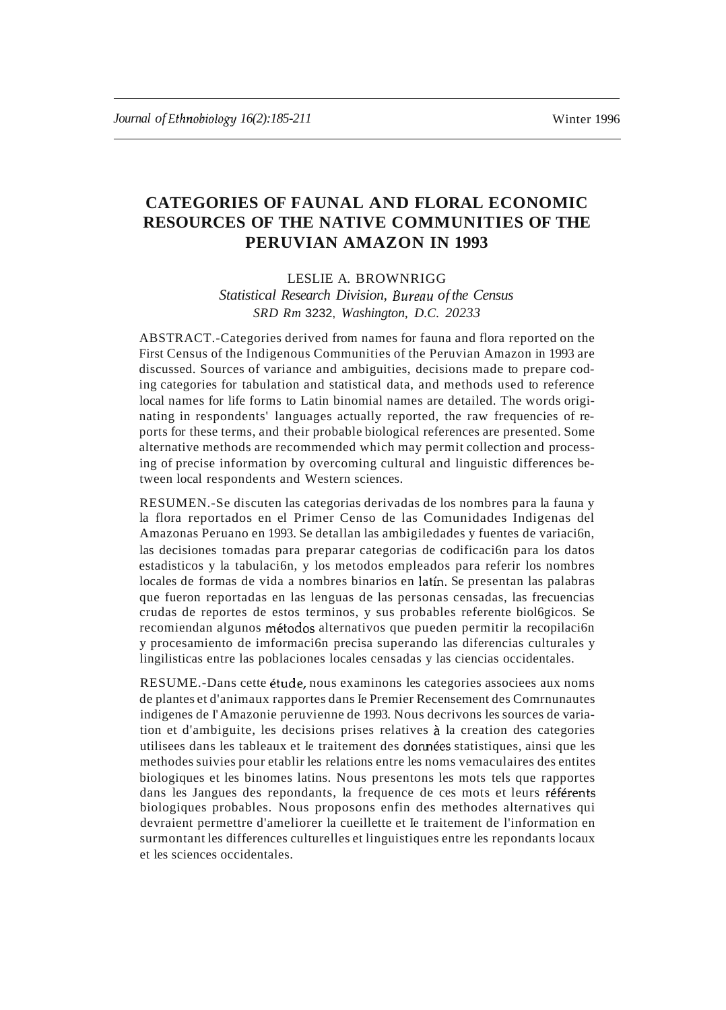# **CATEGORIES OF FAUNAL AND FLORAL ECONOMIC RESOURCES OF THE NATIVE COMMUNITIES OF THE PERUVIAN AMAZON IN 1993**

# LESLIE A. BROWNRIGG

*Statistical Research Division, Bureau of the Census SRD Rm* 3232, *Washington, D.C. 20233*

ABSTRACT.-Categories derived from names for fauna and flora reported on the First Census of the Indigenous Communities of the Peruvian Amazon in 1993 are discussed. Sources of variance and ambiguities, decisions made to prepare coding categories for tabulation and statistical data, and methods used to reference local names for life forms to Latin binomial names are detailed. The words originating in respondents' languages actually reported, the raw frequencies of reports for these terms, and their probable biological references are presented. Some alternative methods are recommended which may permit collection and processing of precise information by overcoming cultural and linguistic differences between local respondents and Western sciences.

RESUMEN.-Se discuten las categorias derivadas de los nombres para la fauna y la flora reportados en el Primer Censo de las Comunidades Indigenas del Amazonas Peruano en 1993. Se detallan las ambigiledades y fuentes de variaci6n, las decisiones tomadas para preparar categorias de codificaci6n para los datos estadisticos y la tabulaci6n, y los metodos empleados para referir los nombres locales de formas de vida a nombres binarios en latin. Se presentan las palabras que fueron reportadas en las lenguas de las personas censadas, las frecuencias crudas de reportes de estos terminos, y sus probables referente biol6gicos. Se recomiendan algunos métodos alternativos que pueden permitir la recopilación y procesamiento de imformaci6n precisa superando las diferencias culturales y lingilisticas entre las poblaciones locales censadas y las ciencias occidentales.

RESUME.-Dans cette etude, nous examinons les categories associees aux noms de plantes et d'animaux rapportes dans Ie Premier Recensement des Comrnunautes indigenes de I'Amazonie peruvienne de 1993. Nous decrivons les sources de variation et d'ambiguite, les decisions prises relatives a la creation des categories utilisees dans les tableaux et Ie traitement des donnees statistiques, ainsi que les methodes suivies pour etablir les relations entre les noms vemaculaires des entites biologiques et les binomes latins. Nous presentons les mots tels que rapportes dans les Jangues des repondants, la frequence de ces mots et leurs référents biologiques probables. Nous proposons enfin des methodes alternatives qui devraient permettre d'ameliorer la cueillette et Ie traitement de l'information en surmontant les differences culturelles et linguistiques entre les repondants locaux et les sciences occidentales.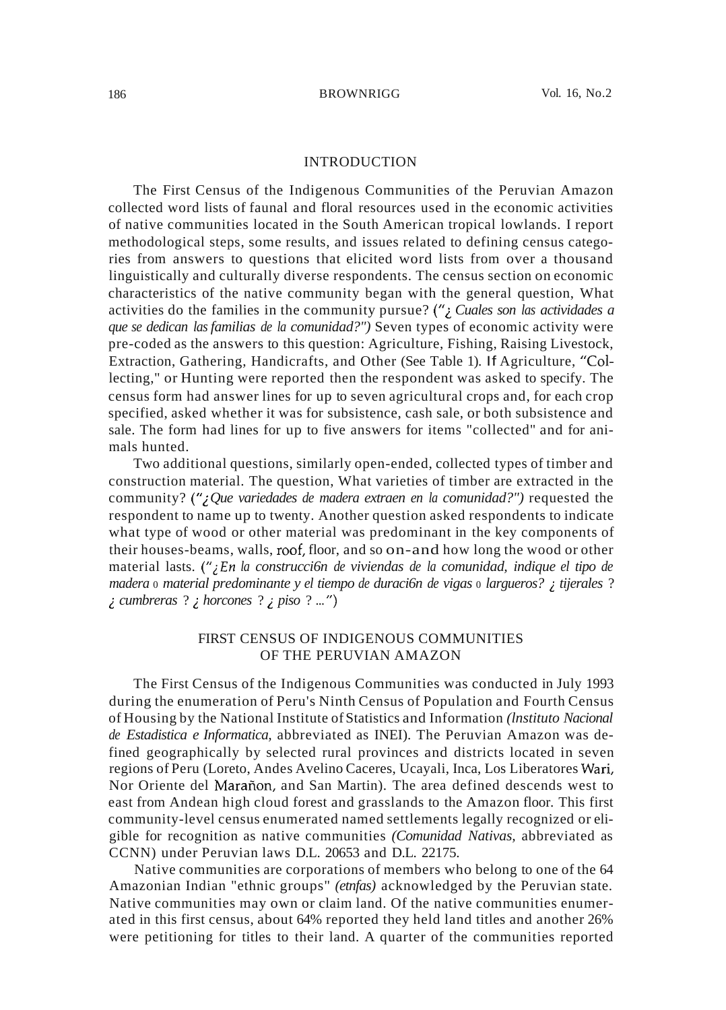# INTRODUCTION

The First Census of the Indigenous Communities of the Peruvian Amazon collected word lists of faunal and floral resources used in the economic activities of native communities located in the South American tropical lowlands. I report methodological steps, some results, and issues related to defining census categories from answers to questions that elicited word lists from over a thousand linguistically and culturally diverse respondents. The census section on economic characteristics of the native community began with the general question, What activities do the families in the community pursue? ("*LCuales son las actividades a que se dedican las familias de la comunidad?")* Seven types of economic activity were pre-coded as the answers to this question: Agriculture, Fishing, Raising Livestock, Extraction, Gathering, Handicrafts, and Other (See Table 1). If Agriculture, "Collecting," or Hunting were reported then the respondent was asked to specify. The census form had answer lines for up to seven agricultural crops and, for each crop specified, asked whether it was for subsistence, cash sale, or both subsistence and sale. The form had lines for up to five answers for items "collected" and for animals hunted.

Two additional questions, similarly open-ended, collected types of timber and construction material. The question, What varieties of timber are extracted in the community? ("¿Que variedades de madera extraen en la comunidad?") requested the respondent to name up to twenty. Another question asked respondents to indicate what type of wood or other material was predominant in the key components of their houses-beams, walls, roof, floor, and so on-and how long the wood or other material lasts. *("zEn la construcci6n de viviendas de la comunidad, indique el tipo de madera* <sup>0</sup> *material predominante y el tiempo de duraci6n de vigas* <sup>0</sup> *largueros?* Z*tijerales* ? Z*cumbreras* ? Z*horcones* ? Z *piso* ? ... ")

# FIRST CENSUS OF INDIGENOUS COMMUNITIES OF THE PERUVIAN AMAZON

The First Census of the Indigenous Communities was conducted in July 1993 during the enumeration of Peru's Ninth Census of Population and Fourth Census of Housing by the National Institute ofStatistics and Information *(lnstituto Nacional de Estadistica e Informatica,* abbreviated as INEI). The Peruvian Amazon was defined geographically by selected rural provinces and districts located in seven regions of Peru (Loreto, Andes Avelino Caceres, Ucayali, Inca, Los Liberatores Wari, Nor Oriente del Maranon, and San Martin). The area defined descends west to east from Andean high cloud forest and grasslands to the Amazon floor. This first community-level census enumerated named settlements legally recognized or eligible for recognition as native communities *(Comunidad Nativas,* abbreviated as CCNN) under Peruvian laws D.L. 20653 and D.L. 22175.

Native communities are corporations of members who belong to one of the 64 Amazonian Indian "ethnic groups" *(etnfas)* acknowledged by the Peruvian state. Native communities may own or claim land. Of the native communities enumerated in this first census, about 64% reported they held land titles and another 26% were petitioning for titles to their land. A quarter of the communities reported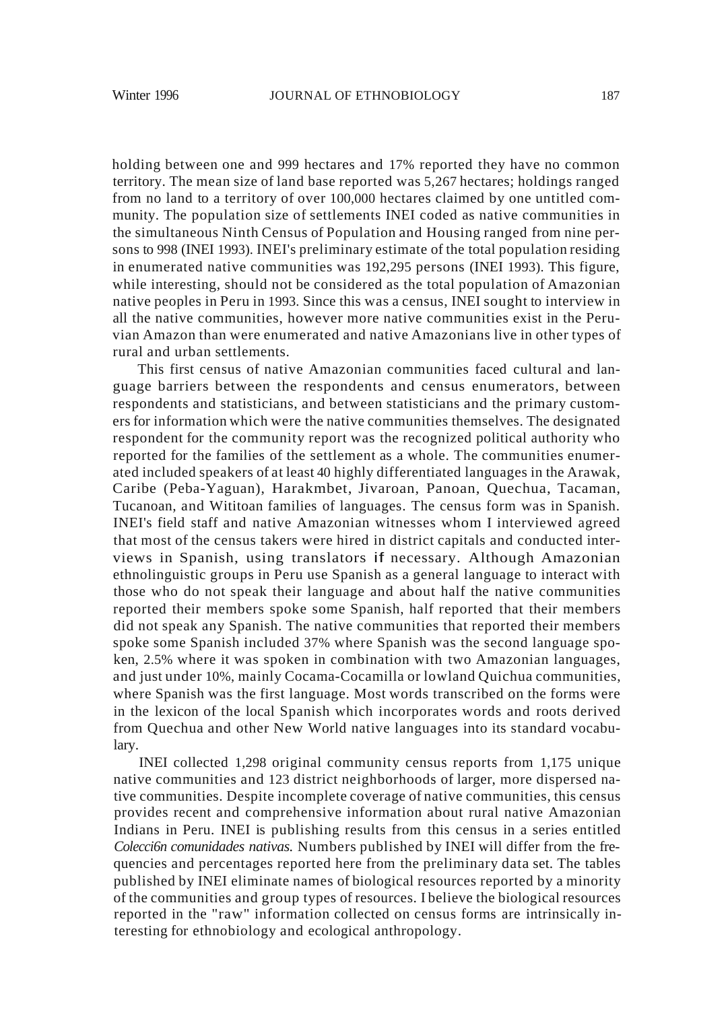holding between one and 999 hectares and 17% reported they have no common territory. The mean size of land base reported was 5,267 hectares; holdings ranged from no land to a territory of over 100,000 hectares claimed by one untitled community. The population size of settlements INEI coded as native communities in the simultaneous Ninth Census of Population and Housing ranged from nine persons to 998 (INEI 1993). INEI's preliminary estimate of the total population residing in enumerated native communities was 192,295 persons (INEI 1993). This figure, while interesting, should not be considered as the total population of Amazonian native peoples in Peru in 1993. Since this was a census, INEI sought to interview in all the native communities, however more native communities exist in the Peruvian Amazon than were enumerated and native Amazonians live in other types of rural and urban settlements.

This first census of native Amazonian communities faced cultural and language barriers between the respondents and census enumerators, between respondents and statisticians, and between statisticians and the primary customers for information which were the native communities themselves. The designated respondent for the community report was the recognized political authority who reported for the families of the settlement as a whole. The communities enumerated included speakers of at least 40 highly differentiated languages in the Arawak, Caribe (Peba-Yaguan), Harakmbet, Jivaroan, Panoan, Quechua, Tacaman, Tucanoan, and Wititoan families of languages. The census form was in Spanish. INEI's field staff and native Amazonian witnesses whom I interviewed agreed that most of the census takers were hired in district capitals and conducted interviews in Spanish, using translators if necessary. Although Amazonian ethnolinguistic groups in Peru use Spanish as a general language to interact with those who do not speak their language and about half the native communities reported their members spoke some Spanish, half reported that their members did not speak any Spanish. The native communities that reported their members spoke some Spanish included 37% where Spanish was the second language spoken, 2.5% where it was spoken in combination with two Amazonian languages, and just under 10%, mainly Cocama-Cocamilla or lowland Quichua communities, where Spanish was the first language. Most words transcribed on the forms were in the lexicon of the local Spanish which incorporates words and roots derived from Quechua and other New World native languages into its standard vocabulary.

INEI collected 1,298 original community census reports from 1,175 unique native communities and 123 district neighborhoods of larger, more dispersed native communities. Despite incomplete coverage of native communities, this census provides recent and comprehensive information about rural native Amazonian Indians in Peru. INEI is publishing results from this census in a series entitled *Colecci6n comunidades nativas.* Numbers published by INEI will differ from the frequencies and percentages reported here from the preliminary data set. The tables published by INEI eliminate names of biological resources reported by a minority of the communities and group types of resources. I believe the biological resources reported in the "raw" information collected on census forms are intrinsically interesting for ethnobiology and ecological anthropology.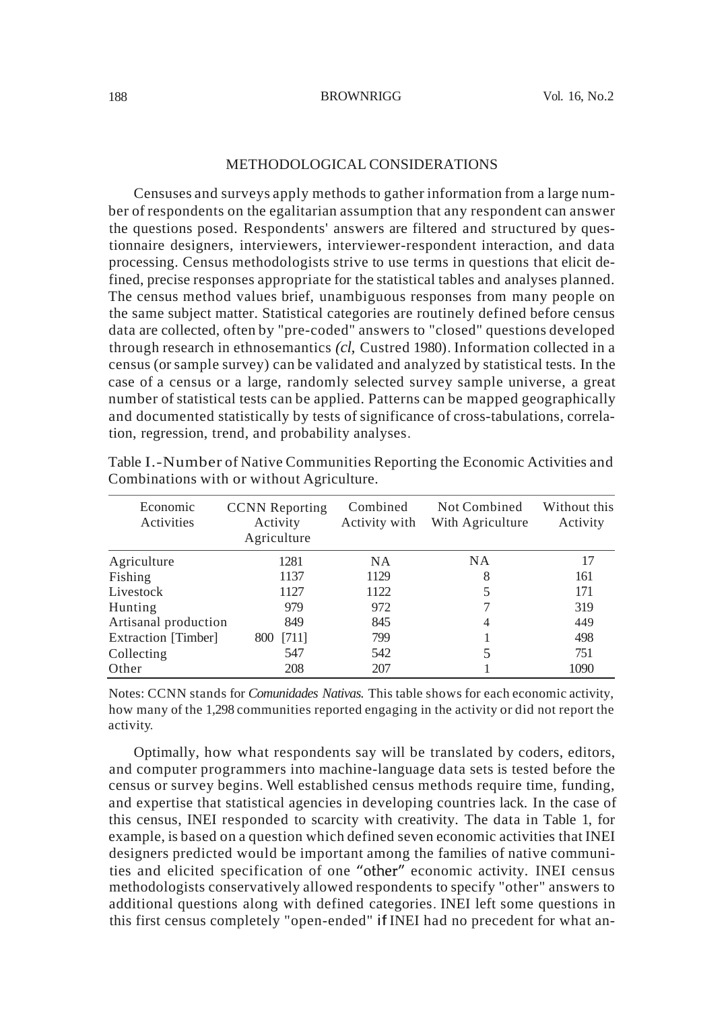# METHODOLOGICAL CONSIDERATIONS

Censuses and surveys apply methods to gather information from a large number of respondents on the egalitarian assumption that any respondent can answer the questions posed. Respondents' answers are filtered and structured by questionnaire designers, interviewers, interviewer-respondent interaction, and data processing. Census methodologists strive to use terms in questions that elicit defined, precise responses appropriate for the statistical tables and analyses planned. The census method values brief, unambiguous responses from many people on the same subject matter. Statistical categories are routinely defined before census data are collected, often by "pre-coded" answers to "closed" questions developed through research in ethnosemantics *(cl,* Custred 1980). Information collected in a census (orsample survey) can be validated and analyzed by statistical tests. In the case of a census or a large, randomly selected survey sample universe, a great number of statistical tests can be applied. Patterns can be mapped geographically and documented statistically by tests of significance of cross-tabulations, correlation, regression, trend, and probability analyses.

| Economic<br>Activities | <b>CCNN</b> Reporting<br>Activity<br>Agriculture | Combined<br>Activity with | Not Combined<br>With Agriculture | Without this<br>Activity |
|------------------------|--------------------------------------------------|---------------------------|----------------------------------|--------------------------|
| Agriculture            | 1281                                             | <b>NA</b>                 | <b>NA</b>                        | 17                       |
| Fishing                | 1137                                             | 1129                      | 8                                | 161                      |
| Livestock              | 1127                                             | 1122                      | 5                                | 171                      |
| Hunting                | 979                                              | 972                       |                                  | 319                      |
| Artisanal production   | 849                                              | 845                       | 4                                | 449                      |
| Extraction [Timber]    | [711]<br>800                                     | 799                       |                                  | 498                      |
| Collecting             | 547                                              | 542                       | 5                                | 751                      |
| Other                  | 208                                              | 207                       |                                  | 1090                     |

Table I.-Number of Native Communities Reporting the Economic Activities and Combinations with or without Agriculture.

Notes: CCNN stands for *Comunidades Nativas.* This table shows for each economic activity, how many of the 1,298 communities reported engaging in the activity or did not report the activity.

Optimally, how what respondents say will be translated by coders, editors, and computer programmers into machine-language data sets is tested before the census or survey begins. Well established census methods require time, funding, and expertise that statistical agencies in developing countries lack. In the case of this census, INEI responded to scarcity with creativity. The data in Table 1, for example, is based on a question which defined seven economic activities that INEI designers predicted would be important among the families of native communities and elicited specification of one "other" economic activity. INEI census methodologists conservatively allowed respondents to specify "other" answers to additional questions along with defined categories. INEI left some questions in this first census completely "open-ended" if INEI had no precedent for what an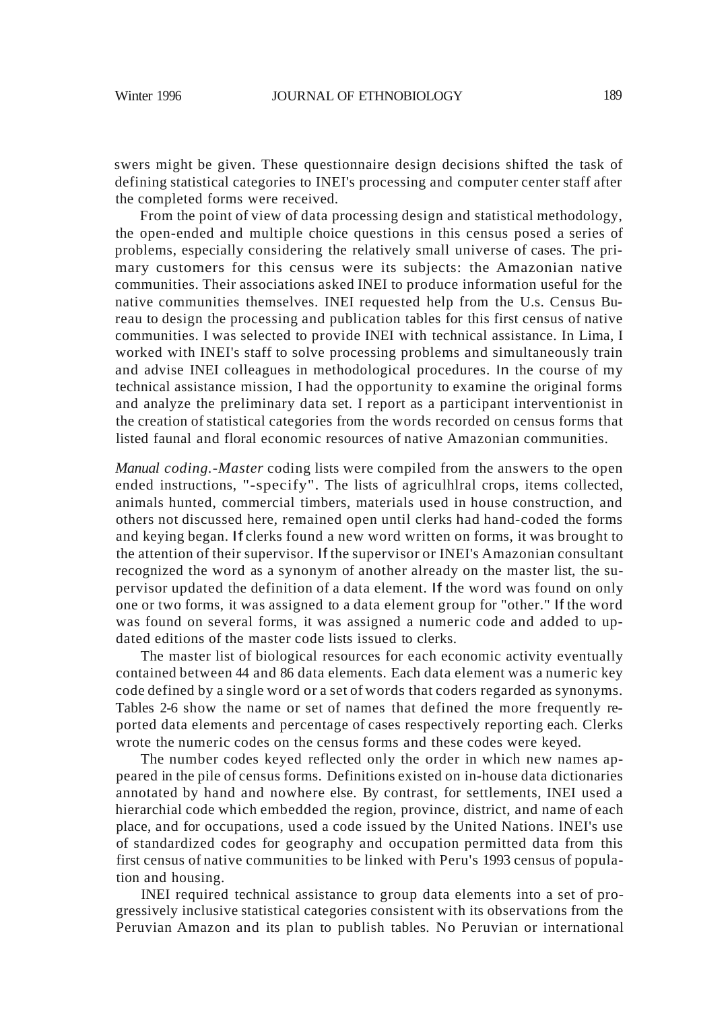swers might be given. These questionnaire design decisions shifted the task of defining statistical categories to INEI's processing and computer center staff after the completed forms were received.

From the point of view of data processing design and statistical methodology, the open-ended and multiple choice questions in this census posed a series of problems, especially considering the relatively small universe of cases. The primary customers for this census were its subjects: the Amazonian native communities. Their associations asked INEI to produce information useful for the native communities themselves. INEI requested help from the U.s. Census Bureau to design the processing and publication tables for this first census of native communities. I was selected to provide INEI with technical assistance. In Lima, I worked with INEI's staff to solve processing problems and simultaneously train and advise INEI colleagues in methodological procedures. In the course of my technical assistance mission, I had the opportunity to examine the original forms and analyze the preliminary data set. I report as a participant interventionist in the creation of statistical categories from the words recorded on census forms that listed faunal and floral economic resources of native Amazonian communities.

*Manual coding.-Master* coding lists were compiled from the answers to the open ended instructions, "-specify". The lists of agriculhlral crops, items collected, animals hunted, commercial timbers, materials used in house construction, and others not discussed here, remained open until clerks had hand-coded the forms and keying began. If clerks found a new word written on forms, it was brought to the attention of their supervisor. If the supervisor or INEI's Amazonian consultant recognized the word as a synonym of another already on the master list, the supervisor updated the definition of a data element. If the word was found on only one or two forms, it was assigned to a data element group for "other." If the word was found on several forms, it was assigned a numeric code and added to updated editions of the master code lists issued to clerks.

The master list of biological resources for each economic activity eventually contained between 44 and 86 data elements. Each data element was a numeric key code defined by a single word or a set of words that coders regarded as synonyms. Tables 2-6 show the name or set of names that defined the more frequently reported data elements and percentage of cases respectively reporting each. Clerks wrote the numeric codes on the census forms and these codes were keyed.

The number codes keyed reflected only the order in which new names appeared in the pile of census forms. Definitions existed on in-house data dictionaries annotated by hand and nowhere else. By contrast, for settlements, INEI used a hierarchial code which embedded the region, province, district, and name of each place, and for occupations, used a code issued by the United Nations. lNEI's use of standardized codes for geography and occupation permitted data from this first census of native communities to be linked with Peru's 1993 census of population and housing.

INEI required technical assistance to group data elements into a set of progressively inclusive statistical categories consistent with its observations from the Peruvian Amazon and its plan to publish tables. No Peruvian or international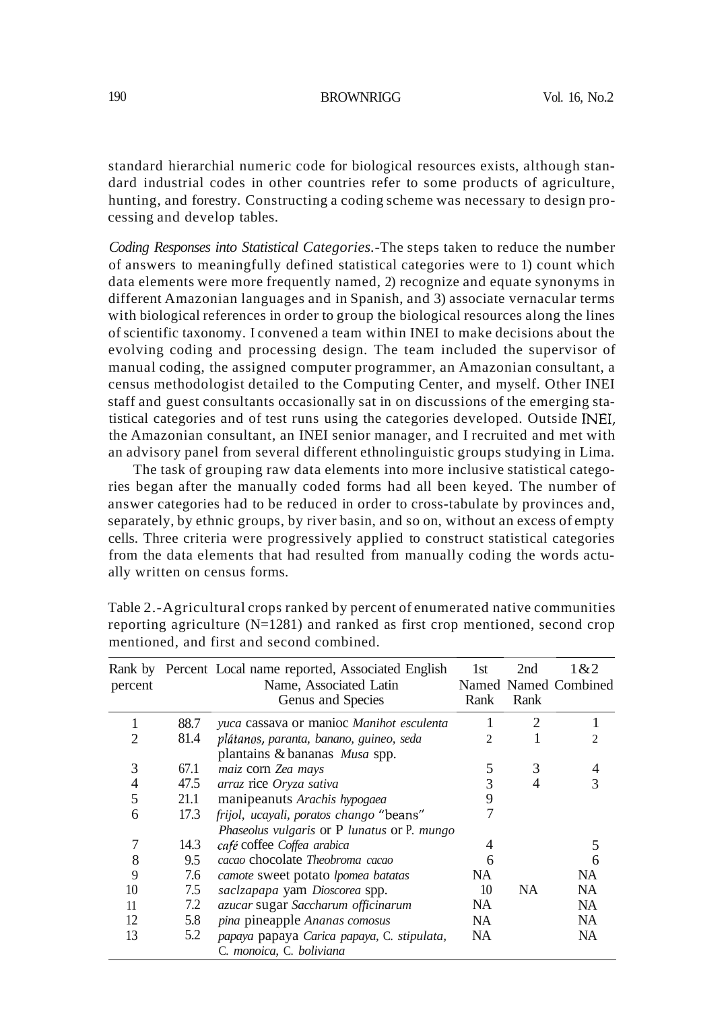standard hierarchial numeric code for biological resources exists, although standard industrial codes in other countries refer to some products of agriculture, hunting, and forestry. Constructing a coding scheme was necessary to design processing and develop tables.

*Coding Responses into Statistical Categories.-*The steps taken to reduce the number of answers to meaningfully defined statistical categories were to 1) count which data elements were more frequently named, 2) recognize and equate synonyms in different Amazonian languages and in Spanish, and 3) associate vernacular terms with biological references in order to group the biological resources along the lines ofscientific taxonomy. I convened a team within INEI to make decisions about the evolving coding and processing design. The team included the supervisor of manual coding, the assigned computer programmer, an Amazonian consultant, a census methodologist detailed to the Computing Center, and myself. Other INEI staff and guest consultants occasionally sat in on discussions of the emerging statistical categories and of test runs using the categories developed. Outside INEI, the Amazonian consultant, an INEI senior manager, and I recruited and met with an advisory panel from several different ethnolinguistic groups studying in Lima.

The task of grouping raw data elements into more inclusive statistical categories began after the manually coded forms had all been keyed. The number of answer categories had to be reduced in order to cross-tabulate by provinces and, separately, by ethnic groups, by river basin, and so on, without an excess of empty cells. Three criteria were progressively applied to construct statistical categories from the data elements that had resulted from manually coding the words actually written on census forms.

| percent        |      | Rank by Percent Local name reported, Associated English<br>Name, Associated Latin<br>Genus and Species | 1st<br>Rank | 2nd<br>Rank | 1&2<br>Named Named Combined |
|----------------|------|--------------------------------------------------------------------------------------------------------|-------------|-------------|-----------------------------|
|                | 88.7 | yuca cassava or manioc Manihot esculenta                                                               |             | 2           |                             |
| 2              | 81.4 | plátanos, paranta, banano, guineo, seda                                                                | 2           |             | 2                           |
|                |      | plantains & bananas Musa spp.                                                                          |             |             |                             |
| 3              | 67.1 | maiz corn Zea mays                                                                                     | 5           | 3           |                             |
| $\overline{4}$ | 47.5 | arraz rice Oryza sativa                                                                                | 3           |             |                             |
| 5              | 21.1 | manipeanuts Arachis hypogaea                                                                           | 9           |             |                             |
| 6              | 17.3 | frijol, ucayali, poratos chango "beans"                                                                | 7           |             |                             |
|                |      | Phaseolus vulgaris or P lunatus or P. mungo                                                            |             |             |                             |
|                | 14.3 | café coffee Coffea arabica                                                                             | 4           |             |                             |
| 8              | 9.5  | cacao chocolate <i>Theobroma</i> cacao                                                                 | 6           |             |                             |
| 9              | 7.6  | camote sweet potato lpomea batatas                                                                     | NA.         |             | NA.                         |
| 10             | 7.5  | saclzapapa yam Dioscorea spp.                                                                          | 10          | <b>NA</b>   | NA.                         |
| 11             | 7.2  | azucar sugar Saccharum officinarum                                                                     | NA.         |             | NA.                         |
| 12             | 5.8  | pina pineapple Ananas comosus                                                                          | NA.         |             | NA.                         |
| 13             | 5.2  | papaya papaya Carica papaya, C. stipulata,<br>C. monoica, C. boliviana                                 | NA          |             | NA                          |

Table 2.-Agricultural crops ranked by percent of enumerated native communities reporting agriculture (N=1281) and ranked as first crop mentioned, second crop mentioned, and first and second combined.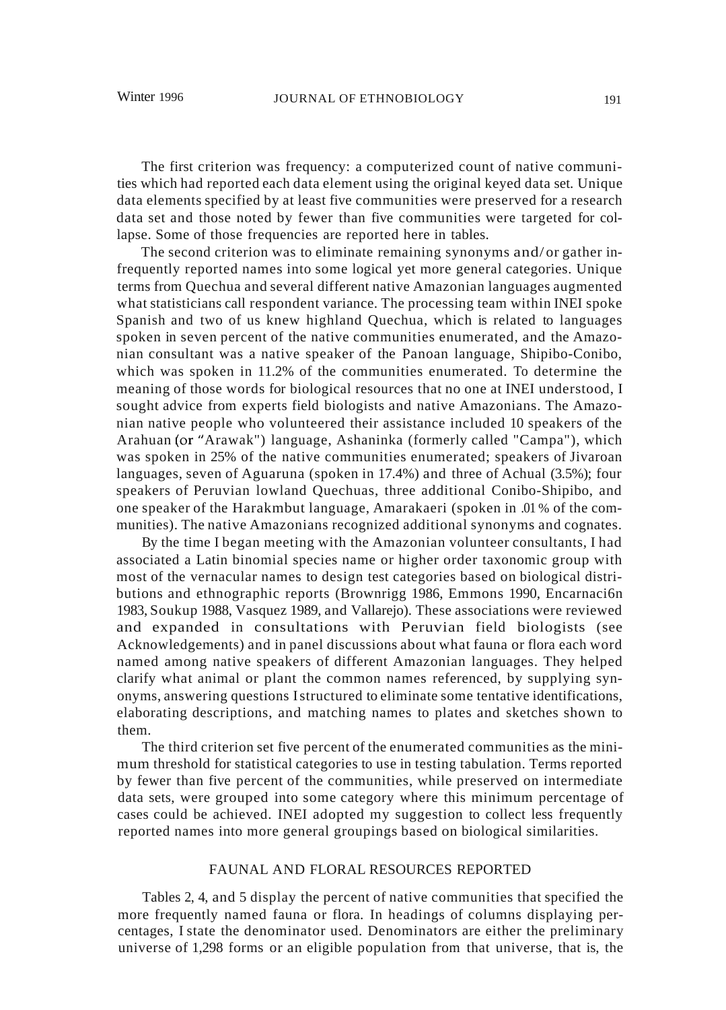The first criterion was frequency: a computerized count of native communities which had reported each data element using the original keyed data set. Unique data elements specified by at least five communities were preserved for a research data set and those noted by fewer than five communities were targeted for collapse. Some of those frequencies are reported here in tables.

The second criterion was to eliminate remaining synonyms and/ or gather infrequently reported names into some logical yet more general categories. Unique terms from Quechua and several different native Amazonian languages augmented what statisticians call respondent variance. The processing team within INEI spoke Spanish and two of us knew highland Quechua, which is related to languages spoken in seven percent of the native communities enumerated, and the Amazonian consultant was a native speaker of the Panoan language, Shipibo-Conibo, which was spoken in 11.2% of the communities enumerated. To determine the meaning of those words for biological resources that no one at INEI understood, I sought advice from experts field biologists and native Amazonians. The Amazonian native people who volunteered their assistance included 10 speakers of the Arahuan (or"Arawak") language, Ashaninka (formerly called "Campa"), which was spoken in 25% of the native communities enumerated; speakers of Jivaroan languages, seven of Aguaruna (spoken in 17.4%) and three of Achual (3.5%); four speakers of Peruvian lowland Quechuas, three additional Conibo-Shipibo, and one speaker of the Harakmbut language, Amarakaeri (spoken in .01 % of the communities). The native Amazonians recognized additional synonyms and cognates.

By the time I began meeting with the Amazonian volunteer consultants, I had associated a Latin binomial species name or higher order taxonomic group with most of the vernacular names to design test categories based on biological distributions and ethnographic reports (Brownrigg 1986, Emmons 1990, Encarnaci6n 1983, Soukup 1988, Vasquez 1989, and Vallarejo). These associations were reviewed and expanded in consultations with Peruvian field biologists (see Acknowledgements) and in panel discussions about what fauna or flora each word named among native speakers of different Amazonian languages. They helped clarify what animal or plant the common names referenced, by supplying synonyms, answering questions Istructured to eliminate some tentative identifications, elaborating descriptions, and matching names to plates and sketches shown to them.

The third criterion set five percent of the enumerated communities as the minimum threshold for statistical categories to use in testing tabulation. Terms reported by fewer than five percent of the communities, while preserved on intermediate data sets, were grouped into some category where this minimum percentage of cases could be achieved. INEI adopted my suggestion to collect less frequently reported names into more general groupings based on biological similarities.

# FAUNAL AND FLORAL RESOURCES REPORTED

Tables 2, 4, and 5 display the percent of native communities that specified the more frequently named fauna or flora. In headings of columns displaying percentages, I state the denominator used. Denominators are either the preliminary universe of 1,298 forms or an eligible population from that universe, that is, the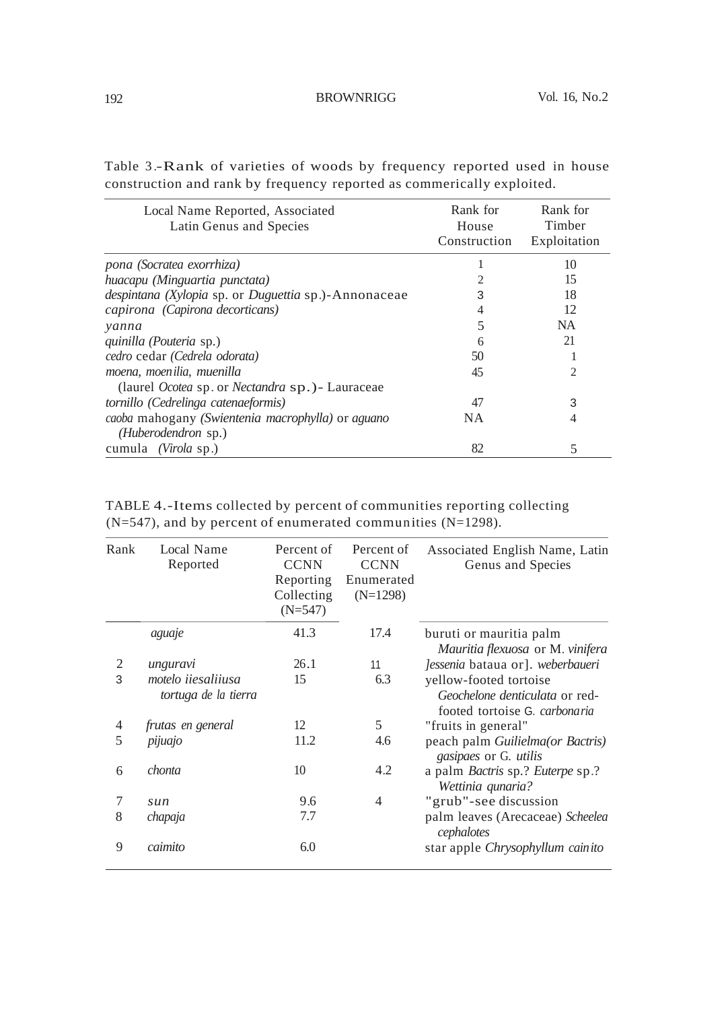| Local Name Reported, Associated<br>Latin Genus and Species     | Rank for<br>House<br>Construction | Rank for<br>Timber<br>Exploitation |
|----------------------------------------------------------------|-----------------------------------|------------------------------------|
| pona (Socratea exorrhiza)                                      |                                   | 10                                 |
| huacapu (Minguartia punctata)                                  |                                   | 15                                 |
| despintana (Xylopia sp. or Duguettia sp.)-Annonaceae           | 3                                 | 18                                 |
| capirona (Capirona decorticans)                                |                                   | 12                                 |
| yanna                                                          |                                   | NA.                                |
| <i>quinilla</i> ( <i>Pouteria</i> sp.)                         | 6                                 | 21                                 |
| cedro cedar (Cedrela odorata)                                  | 50                                |                                    |
| moena, moenilia, muenilla                                      | 45                                | 2                                  |
| (laurel <i>Ocotea</i> sp. or <i>Nectandra</i> sp.) - Lauraceae |                                   |                                    |
| tornillo (Cedrelinga catenaeformis)                            | 47                                | 3                                  |
| caoba mahogany (Swientenia macrophylla) or aguano              | NA                                | 4                                  |
| (Huberodendron sp.)                                            |                                   |                                    |
| cumula (Virola sp.)                                            | 82                                | 5                                  |

Table 3 .-Rank of varieties of woods by frequency reported used in house construction and rank by frequency reported as commerically exploited.

| Rank | Local Name<br>Reported                     | Percent of<br><b>CCNN</b><br>Reporting<br>Collecting<br>$(N=547)$ | Percent of<br><b>CCNN</b><br>Enumerated<br>$(N=1298)$ | Associated English Name, Latin<br>Genus and Species                                       |
|------|--------------------------------------------|-------------------------------------------------------------------|-------------------------------------------------------|-------------------------------------------------------------------------------------------|
|      | aguaje                                     | 41.3                                                              | 17.4                                                  | buruti or mauritia palm<br>Mauritia flexuosa or M. vinifera                               |
| 2    | unguravi                                   | 26.1                                                              | 11                                                    | Jessenia bataua or]. weberbaueri                                                          |
| 3    | motelo iiesaliiusa<br>tortuga de la tierra | 15                                                                | 6.3                                                   | yellow-footed tortoise<br>Geochelone denticulata or red-<br>footed tortoise G. carbonaria |
| 4    | frutas en general                          | 12                                                                | 5                                                     | "fruits in general"                                                                       |
| 5    | pijuajo                                    | 11.2                                                              | 4.6                                                   | peach palm <i>Guilielma(or Bactris)</i><br>gasipaes or G. utilis                          |
| 6    | chonta                                     | 10                                                                | 4.2                                                   | a palm <i>Bactris</i> sp.? <i>Euterpe</i> sp.?<br>Wettinia qunaria?                       |
| 7    | sun                                        | 9.6                                                               | $\overline{4}$                                        | "grub"-see discussion                                                                     |
| 8    | chapaja                                    | 7.7                                                               |                                                       | palm leaves (Arecaceae) Scheelea<br>cephalotes                                            |
| 9    | caimito                                    | 6.0                                                               |                                                       | star apple Chrysophyllum cainito                                                          |

TABLE 4.-Items collected by percent of communities reporting collecting  $(N=547)$ , and by percent of enumerated communities  $(N=1298)$ .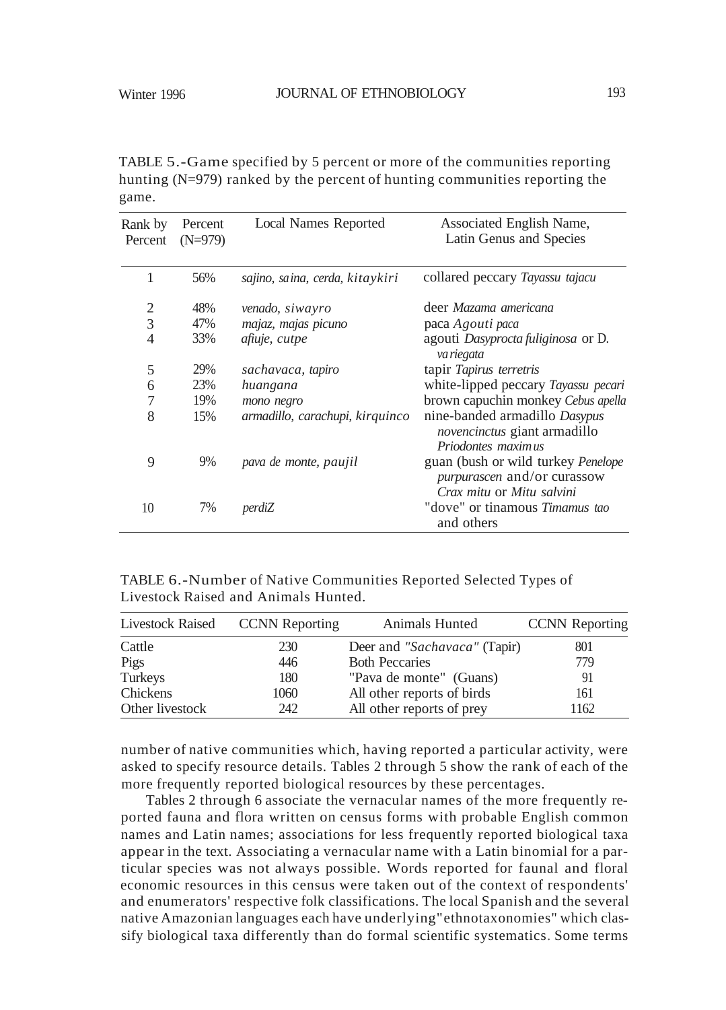TABLE 5.-Game specified by 5 percent or more of the communities reporting hunting (N=979) ranked by the percent of hunting communities reporting the game.

| Rank by<br>Percent | Percent<br>$(N=979)$ | <b>Local Names Reported</b>     | Associated English Name,<br>Latin Genus and Species                                            |
|--------------------|----------------------|---------------------------------|------------------------------------------------------------------------------------------------|
| 1                  | 56%                  | sajino, saina, cerda, kitaykiri | collared peccary Tayassu tajacu                                                                |
| 2                  | 48%                  | venado, siwayro                 | deer Mazama americana                                                                          |
| 3                  | 47%                  | majaz, majas picuno             | paca Agouti paca                                                                               |
| $\overline{4}$     | 33%                  | afiuje, cutpe                   | agouti <i>Dasyprocta fuliginosa</i> or D.<br>va riegata                                        |
| 5                  | 29%                  | sachavaca, tapiro               | tapir Tapirus terretris                                                                        |
| 6                  | 23%                  | huangana                        | white-lipped peccary Tayassu pecari                                                            |
| 7                  | 19%                  | mono negro                      | brown capuchin monkey Cebus apella                                                             |
| 8                  | 15%                  | armadillo, carachupi, kirquinco | nine-banded armadillo Dasypus<br><i>novencinctus</i> giant armadillo<br>Priodontes maximus     |
| 9                  | 9%                   | pava de monte, paujil           | guan (bush or wild turkey Penelope<br>purpurascen and/or curassow<br>Crax mitu or Mitu salvini |
| 10                 | 7%                   | perdiZ                          | "dove" or tinamous <i>Timamus tao</i><br>and others                                            |

TABLE 6.-Number of Native Communities Reported Selected Types of Livestock Raised and Animals Hunted.

|                 | Livestock Raised CCNN Reporting | Animals Hunted               | <b>CCNN</b> Reporting |
|-----------------|---------------------------------|------------------------------|-----------------------|
| Cattle          | 230                             | Deer and "Sachavaca" (Tapir) | 801                   |
| Pigs            | 446                             | <b>Both Peccaries</b>        | 779                   |
| Turkeys         | 180                             | "Pava de monte" (Guans)      | 91                    |
| Chickens        | 1060                            | All other reports of birds   | 161                   |
| Other livestock | 242                             | All other reports of prey    | 1162                  |

number of native communities which, having reported a particular activity, were asked to specify resource details. Tables 2 through 5 show the rank of each of the more frequently reported biological resources by these percentages.

Tables 2 through 6 associate the vernacular names of the more frequently reported fauna and flora written on census forms with probable English common names and Latin names; associations for less frequently reported biological taxa appear in the text. Associating a vernacular name with a Latin binomial for a particular species was not always possible. Words reported for faunal and floral economic resources in this census were taken out of the context of respondents' and enumerators' respective folk classifications. The local Spanish and the several native Amazonian languages each have underlying"ethnotaxonomies" which classify biological taxa differently than do formal scientific systematics. Some terms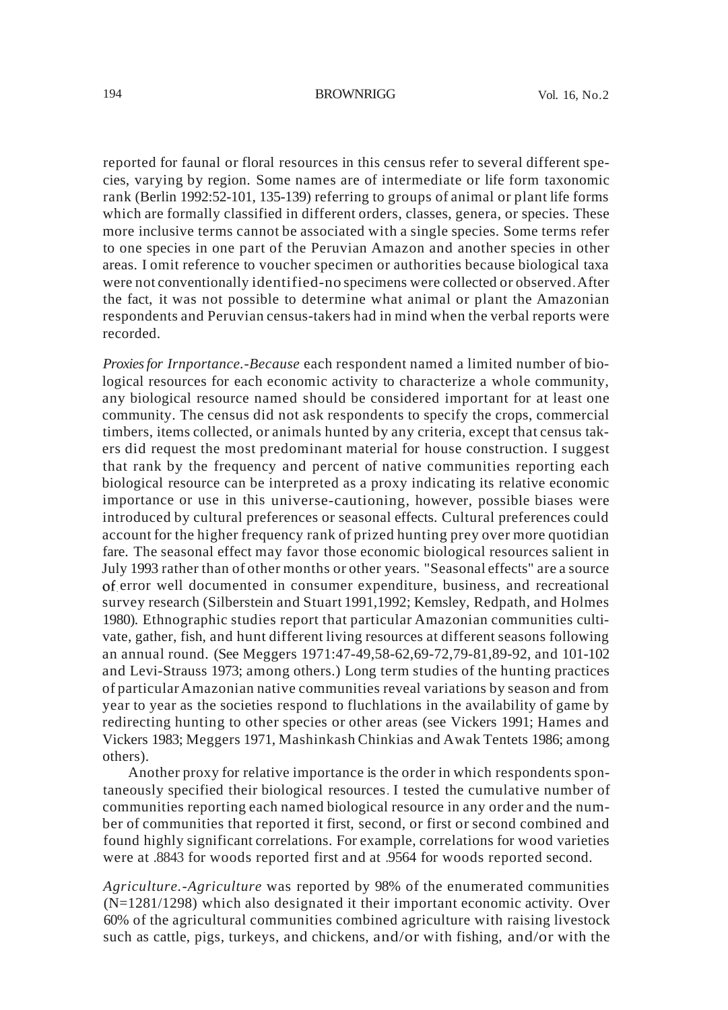reported for faunal or floral resources in this census refer to several different species, varying by region. Some names are of intermediate or life form taxonomic rank (Berlin 1992:52-101, 135-139) referring to groups of animal or plant life forms which are formally classified in different orders, classes, genera, or species. These more inclusive terms cannot be associated with a single species. Some terms refer to one species in one part of the Peruvian Amazon and another species in other areas. I omit reference to voucher specimen or authorities because biological taxa were not conventionally identified-no specimens were collected or observed.After the fact, it was not possible to determine what animal or plant the Amazonian respondents and Peruvian census-takers had in mind when the verbal reports were recorded.

*Proxiesfor Irnportance.-Because* each respondent named a limited number of biological resources for each economic activity to characterize a whole community, any biological resource named should be considered important for at least one community. The census did not ask respondents to specify the crops, commercial timbers, items collected, or animals hunted by any criteria, except that census takers did request the most predominant material for house construction. I suggest that rank by the frequency and percent of native communities reporting each biological resource can be interpreted as a proxy indicating its relative economic importance or use in this universe-cautioning, however, possible biases were introduced by cultural preferences or seasonal effects. Cultural preferences could account for the higher frequency rank of prized hunting prey over more quotidian fare. The seasonal effect may favor those economic biological resources salient in July 1993 rather than of other months or other years. "Seasonal effects" are a source of error well documented in consumer expenditure, business, and recreational survey research (Silberstein and Stuart 1991,1992; Kemsley, Redpath, and Holmes 1980). Ethnographic studies report that particular Amazonian communities cultivate, gather, fish, and hunt different living resources at different seasons following an annual round. (See Meggers 1971:47-49,58-62,69-72,79-81,89-92, and 101-102 and Levi-Strauss 1973; among others.) Long term studies of the hunting practices of particular Amazonian native communities reveal variations by season and from year to year as the societies respond to fluchlations in the availability of game by redirecting hunting to other species or other areas (see Vickers 1991; Hames and Vickers 1983; Meggers 1971, Mashinkash Chinkias and Awak Tentets 1986; among others).

Another proxy for relative importance is the order in which respondents spontaneously specified their biological resources. I tested the cumulative number of communities reporting each named biological resource in any order and the number of communities that reported it first, second, or first or second combined and found highly significant correlations. For example, correlations for wood varieties were at .8843 for woods reported first and at .9564 for woods reported second.

*Agriculture.-Agriculture* was reported by 98% of the enumerated communities (N=1281/1298) which also designated it their important economic activity. Over 60% of the agricultural communities combined agriculture with raising livestock such as cattle, pigs, turkeys, and chickens, and/or with fishing, and/or with the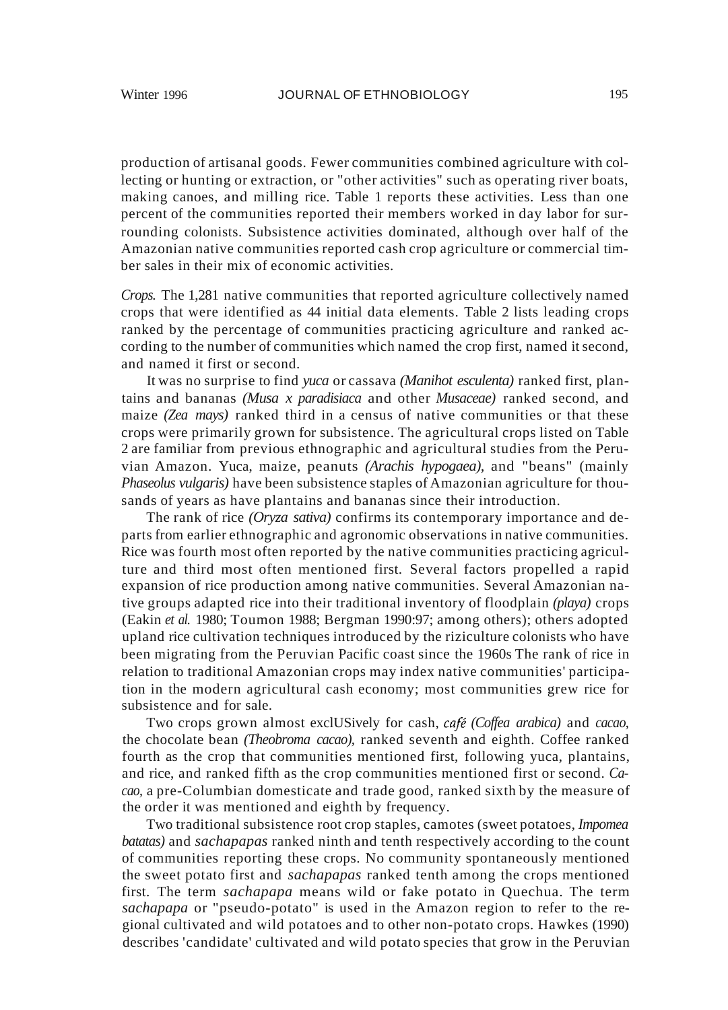production of artisanal goods. Fewer communities combined agriculture with collecting or hunting or extraction, or "other activities" such as operating river boats, making canoes, and milling rice. Table 1 reports these activities. Less than one percent of the communities reported their members worked in day labor for surrounding colonists. Subsistence activities dominated, although over half of the Amazonian native communities reported cash crop agriculture or commercial timber sales in their mix of economic activities.

*Crops.* The 1,281 native communities that reported agriculture collectively named crops that were identified as 44 initial data elements. Table 2 lists leading crops ranked by the percentage of communities practicing agriculture and ranked according to the number of communities which named the crop first, named it second, and named it first or second.

It was no surprise to find *yuca* or cassava *(Manihot esculenta)* ranked first, plantains and bananas *(Musa x paradisiaca* and other *Musaceae)* ranked second, and maize *(Zea mays)* ranked third in a census of native communities or that these crops were primarily grown for subsistence. The agricultural crops listed on Table 2 are familiar from previous ethnographic and agricultural studies from the Peruvian Amazon. Yuca, maize, peanuts *(Arachis hypogaea),* and "beans" (mainly *Phaseolus vulgaris)* have been subsistence staples of Amazonian agriculture for thousands of years as have plantains and bananas since their introduction.

The rank of rice *(Oryza sativa)* confirms its contemporary importance and departs from earlier ethnographic and agronomic observations in native communities. Rice was fourth most often reported by the native communities practicing agriculture and third most often mentioned first. Several factors propelled a rapid expansion of rice production among native communities. Several Amazonian native groups adapted rice into their traditional inventory of floodplain *(playa)* crops (Eakin *et al.* 1980; Toumon 1988; Bergman 1990:97; among others); others adopted upland rice cultivation techniques introduced by the riziculture colonists who have been migrating from the Peruvian Pacific coast since the 1960s The rank of rice in relation to traditional Amazonian crops may index native communities' participation in the modern agricultural cash economy; most communities grew rice for subsistence and for sale.

Two crops grown almost exclUSively for cash, *cafe (Coffea arabica)* and *cacao,* the chocolate bean *(Theobroma cacao),* ranked seventh and eighth. Coffee ranked fourth as the crop that communities mentioned first, following yuca, plantains, and rice, and ranked fifth as the crop communities mentioned first or second. *Cacao,* a pre-Columbian domesticate and trade good, ranked sixth by the measure of the order it was mentioned and eighth by frequency.

Two traditional subsistence root crop staples, camotes (sweet potatoes, *Impomea batatas)* and *sachapapas* ranked ninth and tenth respectively according to the count of communities reporting these crops. No community spontaneously mentioned the sweet potato first and *sachapapas* ranked tenth among the crops mentioned first. The term *sachapapa* means wild or fake potato in Quechua. The term *sachapapa* or "pseudo-potato" is used in the Amazon region to refer to the regional cultivated and wild potatoes and to other non-potato crops. Hawkes (1990) describes 'candidate' cultivated and wild potato species that grow in the Peruvian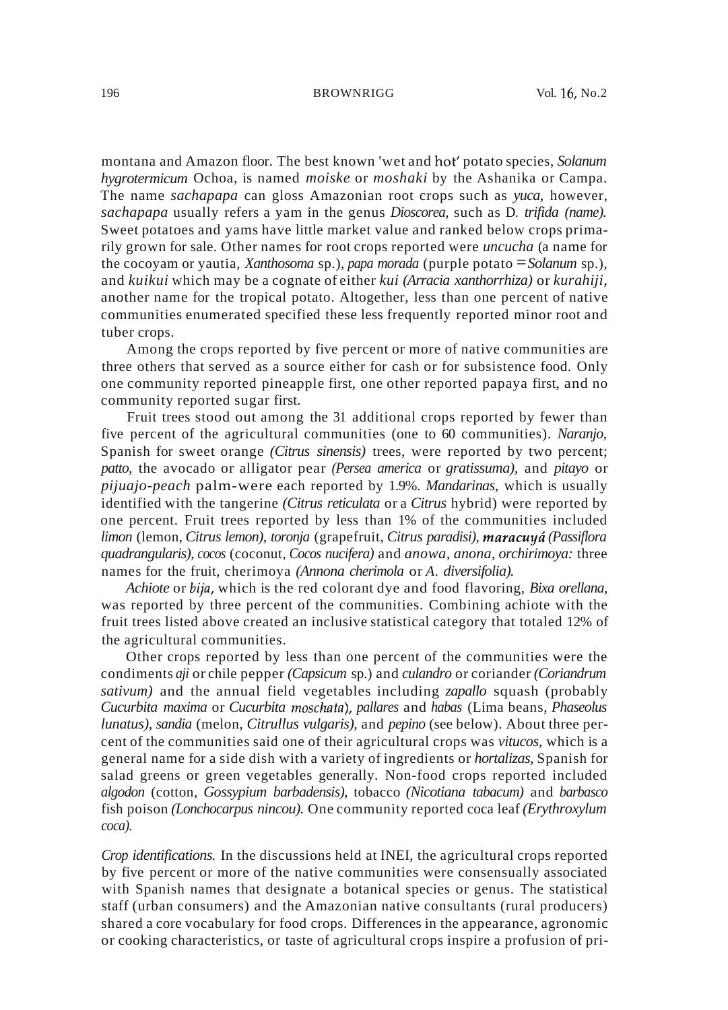montana and Amazon floor. The best known 'wet and hot' potato species, *Solanum hygrotermicum* Ochoa, is named *moiske* or *moshaki* by the Ashanika or Campa. The name *sachapapa* can gloss Amazonian root crops such as *yuca,* however, *sachapapa* usually refers a yam in the genus *Dioscorea,* such as D. *trifida (name).* Sweet potatoes and yams have little market value and ranked below crops primarily grown for sale. Other names for root crops reported were *uncucha* (a name for the cocoyam or yautia, *Xanthosoma* sp.), *papa morada* (purple potato =*Solanum* sp.), and *kuikui* which may be a cognate of either *kui (Arracia xanthorrhiza)* or *kurahiji,* another name for the tropical potato. Altogether, less than one percent of native communities enumerated specified these less frequently reported minor root and tuber crops.

Among the crops reported by five percent or more of native communities are three others that served as a source either for cash or for subsistence food. Only one community reported pineapple first, one other reported papaya first, and no community reported sugar first.

Fruit trees stood out among the 31 additional crops reported by fewer than five percent of the agricultural communities (one to 60 communities). *Naranjo,* Spanish for sweet orange *(Citrus sinensis)* trees, were reported by two percent; *patto,* the avocado or alligator pear *(Persea america* or *gratissuma),* and *pitayo* or *pijuajo-peach* palm-were each reported by 1.9%. *Mandarinas,* which is usually identified with the tangerine *(Citrus reticulata* or a *Citrus* hybrid) were reported by one percent. Fruit trees reported by less than 1% of the communities included *limon* (lemon, *Citrus lemon), toronja* (grapefruit, *Citrus paradisi), maracuyti (Passiflora quadrangularis), cocos* (coconut, *Cocos nucifera)* and *anowa, anona, orchirimoya:* three names for the fruit, cherimoya *(Annona cherimola* or *A. diversifolia).*

*Achiote* or *blj'a,* which is the red colorant dye and food flavoring, *Bixa orellana,* was reported by three percent of the communities. Combining achiote with the fruit trees listed above created an inclusive statistical category that totaled 12% of the agricultural communities.

Other crops reported by less than one percent of the communities were the condiments *aji* or chile pepper *(Capsicum* sp.) and *culandro* or coriander *(Coriandrum sativum)* and the annual field vegetables including *zapallo* squash (probably *Cucurbita maxima* or *Cucurbita moschflta), pallares* and *habas* (Lima beans, *Phaseolus lunatus), sandia* (melon, *Citrullus vulgaris),* and *pepino* (see below). About three percent of the communities said one of their agricultural crops was *vitucos,* which is a general name for a side dish with a variety of ingredients or *hortalizas,* Spanish for salad greens or green vegetables generally. Non-food crops reported included *algodon* (cotton, *Gossypium barbadensis),* tobacco *(Nicotiana tabacum)* and *barbasco* fish poison *(Lonchocarpus nincou).* One community reported coca leaf *(Erythroxylum coca).*

*Crop identifications.* In the discussions held at INEI, the agricultural crops reported by five percent or more of the native communities were consensually associated with Spanish names that designate a botanical species or genus. The statistical staff (urban consumers) and the Amazonian native consultants (rural producers) shared a core vocabulary for food crops. Differences in the appearance, agronomic or cooking characteristics, or taste of agricultural crops inspire a profusion of pri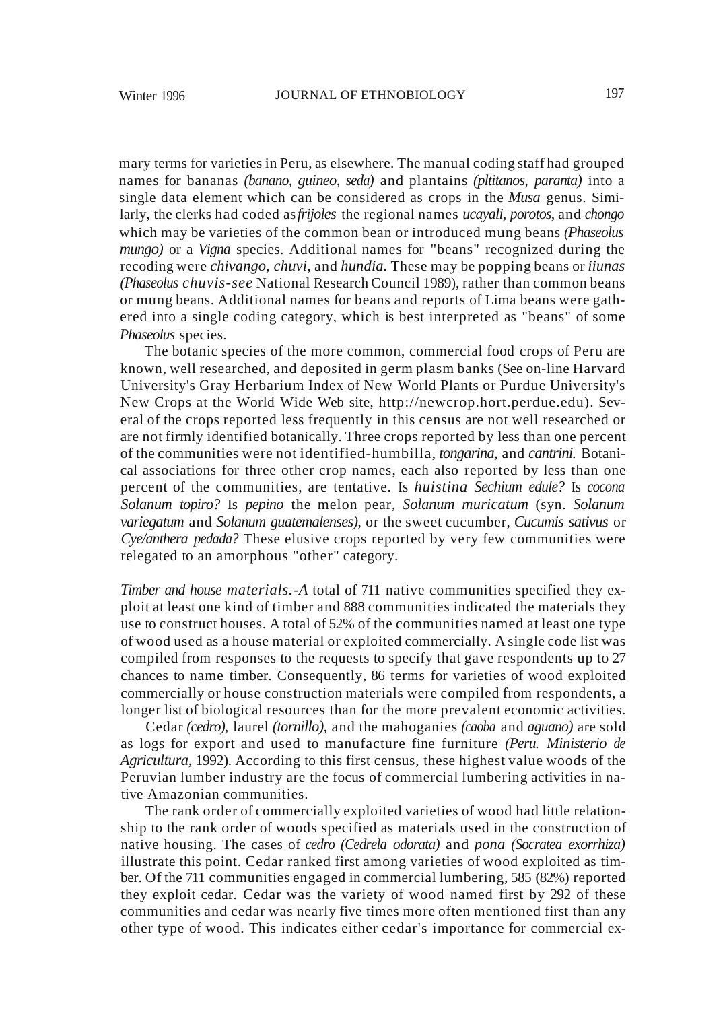mary terms for varieties in Peru, as elsewhere. The manual coding staff had grouped names for bananas *(banano, guineo, seda)* and plantains *(pltitanos, paranta)* into a single data element which can be considered as crops in the *Musa* genus. Similarly, the clerks had coded as*frijoles* the regional names *ucayali, porotos,* and *chongo* which may be varieties of the common bean or introduced mung beans *(Phaseolus mungo)* or a *Vigna* species. Additional names for "beans" recognized during the recoding were *chivango, chuvi,* and *hundia.* These may be popping beans or *iiunas (Phaseolus chuvis-see* National Research Council 1989), rather than common beans or mung beans. Additional names for beans and reports of Lima beans were gathered into a single coding category, which is best interpreted as "beans" of some *Phaseolus* species.

The botanic species of the more common, commercial food crops of Peru are known, well researched, and deposited in germ plasm banks (See on-line Harvard University's Gray Herbarium Index of New World Plants or Purdue University's New Crops at the World Wide Web site, http://newcrop.hort.perdue.edu). Several of the crops reported less frequently in this census are not well researched or are not firmly identified botanically. Three crops reported by less than one percent of the communities were not identified-humbilla, *tongarina,* and *cantrini.* Botanical associations for three other crop names, each also reported by less than one percent of the communities, are tentative. Is *huistina Sechium edule?* Is *cocona Solanum topiro?* Is *pepino* the melon pear, *Solanum muricatum* (syn. *Solanum variegatum* and *Solanum guatemalenses),* or the sweet cucumber, *Cucumis sativus* or *Cye/anthera pedada?* These elusive crops reported by very few communities were relegated to an amorphous "other" category.

*Timber and house materials.-A* total of 711 native communities specified they exploit at least one kind of timber and 888 communities indicated the materials they use to construct houses. A total of 52% of the communities named at least one type of wood used as a house material or exploited commercially. A single code list was compiled from responses to the requests to specify that gave respondents up to 27 chances to name timber. Consequently, 86 terms for varieties of wood exploited commercially or house construction materials were compiled from respondents, a longer list of biological resources than for the more prevalent economic activities.

Cedar *(cedro),* laurel *(tornillo),* and the mahoganies *(caoba* and *aguano)* are sold as logs for export and used to manufacture fine furniture *(Peru. Ministerio de Agricultura,* 1992). According to this first census, these highest value woods of the Peruvian lumber industry are the focus of commercial lumbering activities in native Amazonian communities.

The rank order of commercially exploited varieties of wood had little relationship to the rank order of woods specified as materials used in the construction of native housing. The cases of *cedro (Cedrela odorata)* and *pona (Socratea exorrhiza)* illustrate this point. Cedar ranked first among varieties of wood exploited as timber. Of the 711 communities engaged in commercial lumbering, 585 (82%) reported they exploit cedar. Cedar was the variety of wood named first by 292 of these communities and cedar was nearly five times more often mentioned first than any other type of wood. This indicates either cedar's importance for commercial ex-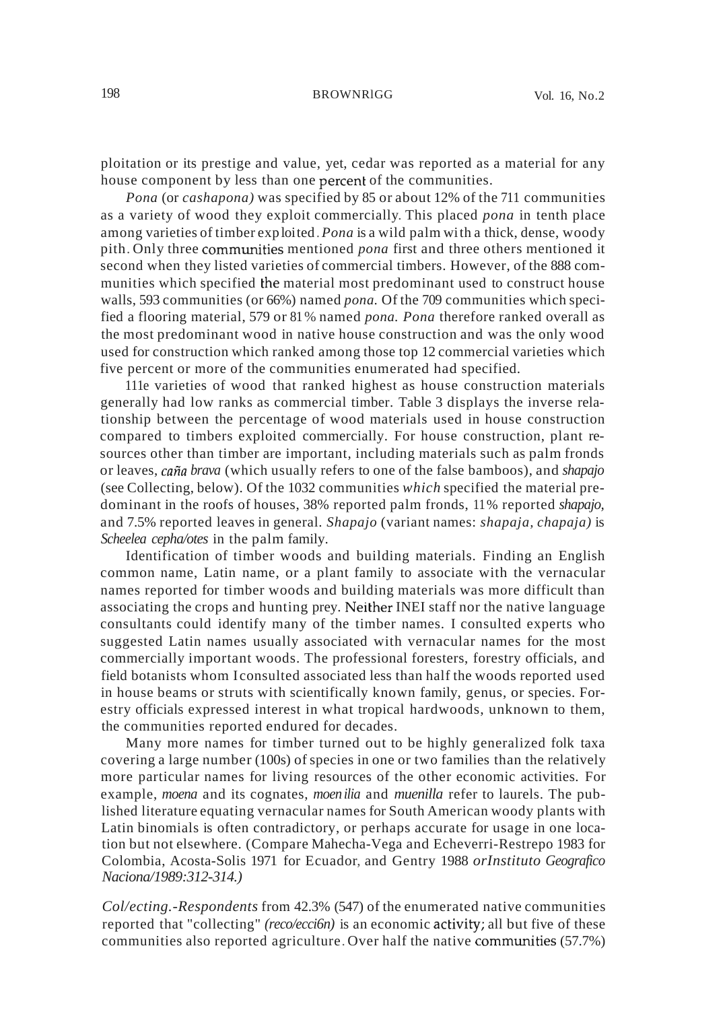ploitation or its prestige and value, yet, cedar was reported as a material for any house component by less than one percent of the communities.

*Pona* (or *cashapona)* was specified by 85 or about 12% of the 711 communities as a variety of wood they exploit commercially. This placed *pona* in tenth place among varieties of timber exploited.*Pona* is a wild palm with a thick, dense, woody pith. Only three communities mentioned *pona* first and three others mentioned it second when they listed varieties of commercial timbers. However, of the 888 communities which specified the material most predominant used to construct house walls, 593 communities (or 66%) named *pona.* Of the 709 communities which specified a flooring material, 579 or 81% named *pona. Pona* therefore ranked overall as the most predominant wood in native house construction and was the only wood used for construction which ranked among those top 12 commercial varieties which five percent or more of the communities enumerated had specified.

111e varieties of wood that ranked highest as house construction materials generally had low ranks as commercial timber. Table 3 displays the inverse relationship between the percentage of wood materials used in house construction compared to timbers exploited commercially. For house construction, plant resources other than timber are important, including materials such as palm fronds or leaves, *cana brava* (which usually refers to one of the false bamboos), and *shapajo* (see Collecting, below). Of the 1032 communities *which* specified the material predominant in the roofs of houses, 38% reported palm fronds, 11% reported *shapajo,* and 7.5% reported leaves in general. *Shapajo* (variant names: *shapaja, chapaja)* is *Scheelea cepha/otes* in the palm family.

Identification of timber woods and building materials. Finding an English common name, Latin name, or a plant family to associate with the vernacular names reported for timber woods and building materials was more difficult than associating the crops and hunting prey. Neither INEI staff nor the native language consultants could identify many of the timber names. I consulted experts who suggested Latin names usually associated with vernacular names for the most commercially important woods. The professional foresters, forestry officials, and field botanists whom I consulted associated less than half the woods reported used in house beams or struts with scientifically known family, genus, or species. Forestry officials expressed interest in what tropical hardwoods, unknown to them, the communities reported endured for decades.

Many more names for timber turned out to be highly generalized folk taxa covering a large number (100s) of species in one or two families than the relatively more particular names for living resources of the other economic activities. For example, *moena* and its cognates, *moenilia* and *muenilla* refer to laurels. The published literature equating vernacular names for South American woody plants with Latin binomials is often contradictory, or perhaps accurate for usage in one location but not elsewhere. (Compare Mahecha-Vega and Echeverri-Restrepo 1983 for Colombia, Acosta-Solis 1971 for Ecuador, and Gentry 1988 *orInstituto Geografico Naciona/1989:312-314.)*

*Col/ecting.-Respondents* from 42.3% (547) of the enumerated native communities reported that "collecting" *(reco/ecci6n)* is an economic activity; all but five of these communities also reported agriculture. Over half the native communities  $(57.7%)$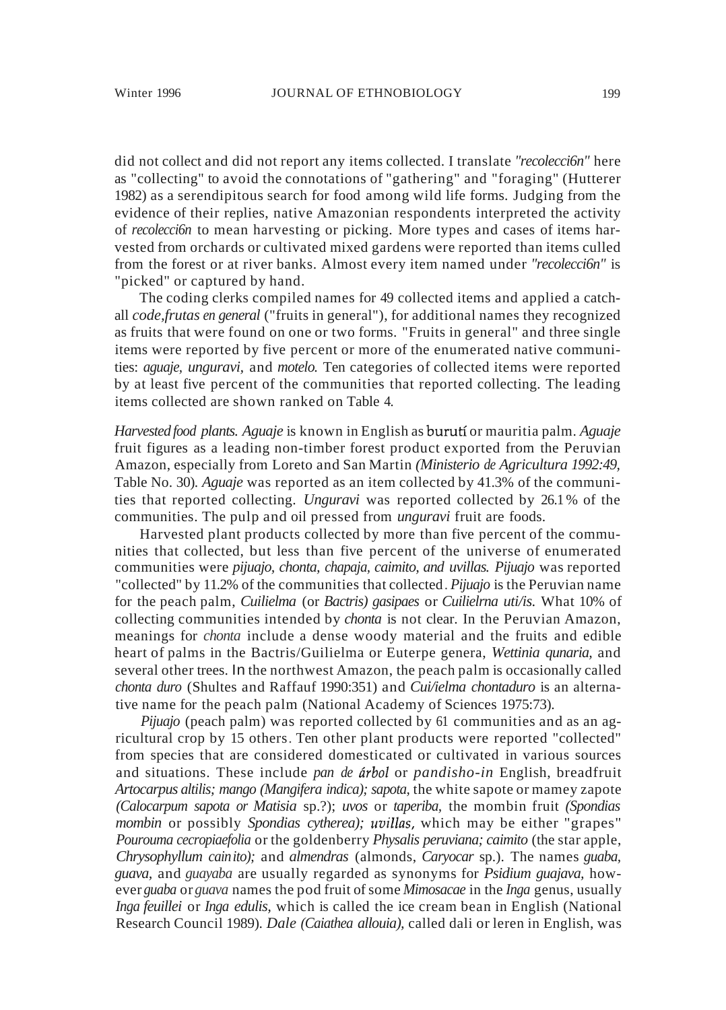did not collect and did not report any items collected. I translate *"recolecci6n"* here as "collecting" to avoid the connotations of "gathering" and "foraging" (Hutterer 1982) as a serendipitous search for food among wild life forms. Judging from the evidence of their replies, native Amazonian respondents interpreted the activity of *recolecci6n* to mean harvesting or picking. More types and cases of items harvested from orchards or cultivated mixed gardens were reported than items culled from the forest or at river banks. Almost every item named under *"recolecci6n"* is "picked" or captured by hand.

The coding clerks compiled names for 49 collected items and applied a catchall *code,frutas en general* ("fruits in general"), for additional names they recognized as fruits that were found on one or two forms. "Fruits in general" and three single items were reported by five percent or more of the enumerated native communities: *aguaje, unguravi,* and *motelo.* Ten categories of collected items were reported by at least five percent of the communities that reported collecting. The leading items collected are shown ranked on Table 4.

*Harvested food plants. Aguaje* is known in English as buruti or mauritia palm. *Aguaje* fruit figures as a leading non-timber forest product exported from the Peruvian Amazon, especially from Loreto and San Martin *(Ministerio de Agricultura 1992:49,* Table No. 30). *Aguaje* was reported as an item collected by 41.3% of the communities that reported collecting. *Unguravi* was reported collected by 26.1 % of the communities. The pulp and oil pressed from *unguravi* fruit are foods.

Harvested plant products collected by more than five percent of the communities that collected, but less than five percent of the universe of enumerated communities were *pijuajo, chonta, chapaja, caimito, and uvillas. Pijuajo* was reported "collected" by 11.2% of the communities that collected. *Pijuajo* is the Peruvian name for the peach palm, *Cuilielma* (or *Bactris) gasipaes* or *Cuilielrna uti/is.* What 10% of collecting communities intended by *chonta* is not clear. In the Peruvian Amazon, meanings for *chonta* include a dense woody material and the fruits and edible heart of palms in the Bactris/Guilielma or Euterpe genera, *Wettinia qunaria,* and several other trees. In the northwest Amazon, the peach palm is occasionally called *chonta duro* (Shultes and Raffauf 1990:351) and *Cui/ielma chontaduro* is an alternative name for the peach palm (National Academy of Sciences 1975:73).

*Pijuajo* (peach palm) was reported collected by 61 communities and as an agricultural crop by 15 others. Ten other plant products were reported "collected" from species that are considered domesticated or cultivated in various sources and situations. These include *pan de arbol* or *pandisho-in* English, breadfruit *Artocarpus altilis; mango (Mangifera indica); sapota,* the white sapote or mamey zapote *(Calocarpum sapota or Matisia* sp.?); *uvos* or *taperiba,* the mombin fruit *(Spondias mombin* or possibly *Spondias cytherea); uvillas,* which may be either "grapes" *Pourouma cecropiaefolia* or the goldenberry *Physalis peruviana; caimito* (the star apple, *Chrysophyllum cainito);* and *almendras* (almonds, *Caryocar* sp.). The names *guaba, guava,* and *guayaba* are usually regarded as synonyms for *Psidium guajava,* however *guaba* or *guava* names the pod fruit ofsome *Mimosacae* in the *Inga* genus, usually *Inga feuillei* or *Inga edulis,* which is called the ice cream bean in English (National Research Council 1989). *Dale (Caiathea allouia),* called dali or leren in English, was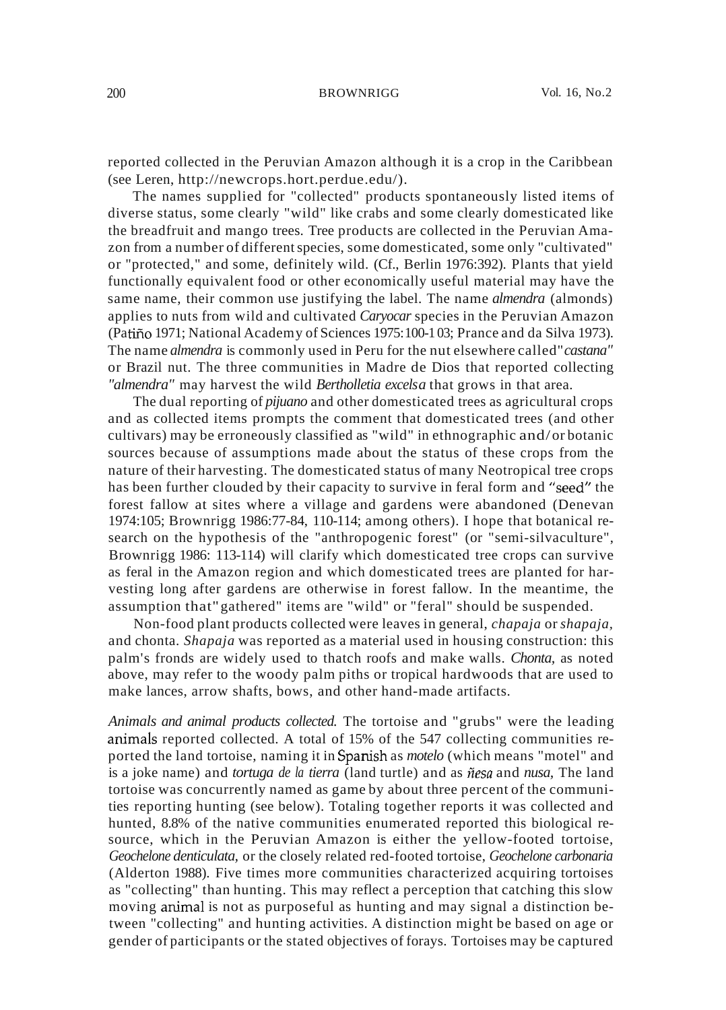reported collected in the Peruvian Amazon although it is a crop in the Caribbean (see Leren, http://newcrops.hort.perdue.edu/).

The names supplied for "collected" products spontaneously listed items of diverse status, some clearly "wild" like crabs and some clearly domesticated like the breadfruit and mango trees. Tree products are collected in the Peruvian Amazon from a number of different species, some domesticated, some only "cultivated" or "protected," and some, definitely wild. (Cf., Berlin 1976:392). Plants that yield functionally equivalent food or other economically useful material may have the same name, their common use justifying the label. The name *almendra* (almonds) applies to nuts from wild and cultivated *Caryocar* species in the Peruvian Amazon (Patiño 1971; National Academy of Sciences 1975:100-103; Prance and da Silva 1973). The name *almendra* is commonly used in Peru for the nut elsewhere called"*castana"* or Brazil nut. The three communities in Madre de Dios that reported collecting *"almendra"* may harvest the wild *Bertholletia excelsa* that grows in that area.

The dual reporting of *pijuano* and other domesticated trees as agricultural crops and as collected items prompts the comment that domesticated trees (and other cultivars) may be erroneously classified as "wild" in ethnographic and/or botanic sources because of assumptions made about the status of these crops from the nature of their harvesting. The domesticated status of many Neotropical tree crops has been further clouded by their capacity to survive in feral form and "seed" the forest fallow at sites where a village and gardens were abandoned (Denevan 1974:105; Brownrigg 1986:77-84, 110-114; among others). I hope that botanical research on the hypothesis of the "anthropogenic forest" (or "semi-silvaculture", Brownrigg 1986: 113-114) will clarify which domesticated tree crops can survive as feral in the Amazon region and which domesticated trees are planted for harvesting long after gardens are otherwise in forest fallow. In the meantime, the assumption that"gathered" items are "wild" or "feral" should be suspended.

Non-food plant products collected were leaves in general, *chapaja* or *shapaja,* and chonta. *Shapaja* was reported as a material used in housing construction: this palm's fronds are widely used to thatch roofs and make walls. *Chonta,* as noted above, may refer to the woody palm piths or tropical hardwoods that are used to make lances, arrow shafts, bows, and other hand-made artifacts.

*Animals and animal products collected.* The tortoise and "grubs" were the leading animals reported collected. A total of 15% of the 547 collecting communities reported the land tortoise, naming it in Spanish as *motelo* (which means "motel" and is a joke name) and *tortuga de la tierra* (land turtle) and as *nesa* and *nusa,* The land tortoise was concurrently named as game by about three percent of the communities reporting hunting (see below). Totaling together reports it was collected and hunted, 8.8% of the native communities enumerated reported this biological resource, which in the Peruvian Amazon is either the yellow-footed tortoise, *Geochelone denticulata,* or the closely related red-footed tortoise, *Geochelone carbonaria* (Alderton 1988). Five times more communities characterized acquiring tortoises as "collecting" than hunting. This may reflect a perception that catching this slow moving animal is not as purposeful as hunting and may signal a distinction between "collecting" and hunting activities. A distinction might be based on age or gender of participants or the stated objectives of forays. Tortoises may be captured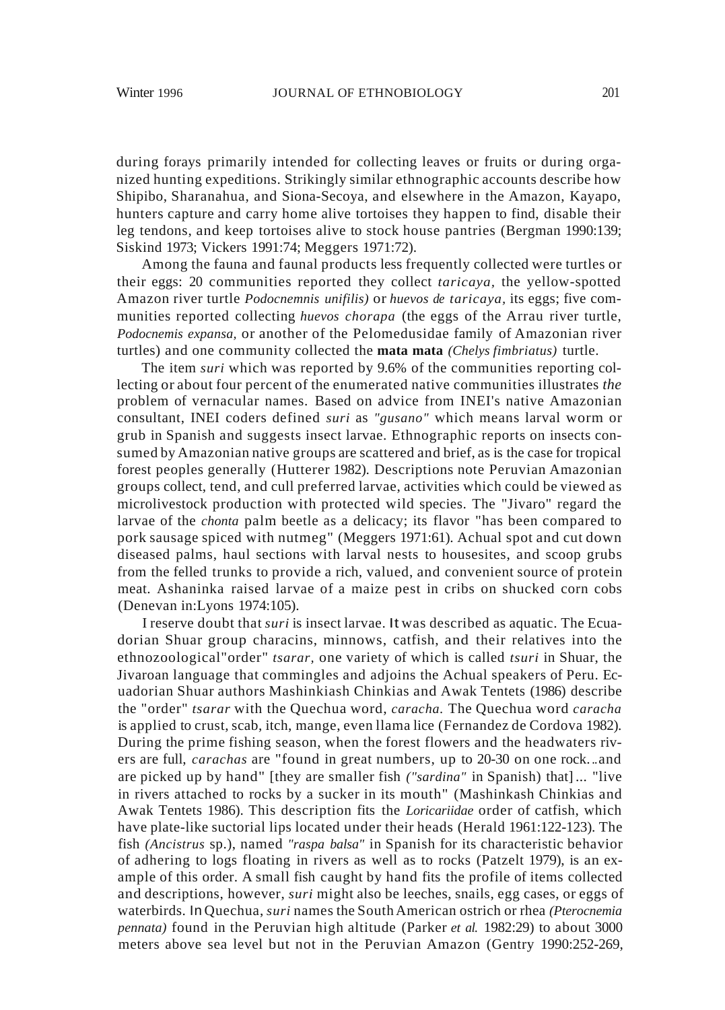during forays primarily intended for collecting leaves or fruits or during organized hunting expeditions. Strikingly similar ethnographic accounts describe how Shipibo, Sharanahua, and Siona-Secoya, and elsewhere in the Amazon, Kayapo, hunters capture and carry home alive tortoises they happen to find, disable their leg tendons, and keep tortoises alive to stock house pantries (Bergman 1990:139; Siskind 1973; Vickers 1991:74; Meggers 1971:72).

Among the fauna and faunal products less frequently collected were turtles or their eggs: 20 communities reported they collect *taricaya,* the yellow-spotted Amazon river turtle *Podocnemnis unifilis)* or *huevos de taricaya,* its eggs; five communities reported collecting *huevos chorapa* (the eggs of the Arrau river turtle, *Podocnemis expansa,* or another of the Pelomedusidae family of Amazonian river turtles) and one community collected the **mata mata** *(Chelys fimbriatus)* turtle.

The item *suri* which was reported by 9.6% of the communities reporting collecting or about four percent of the enumerated native communities illustrates *the* problem of vernacular names. Based on advice from INEI's native Amazonian consultant, INEI coders defined *suri* as *"gusano"* which means larval worm or grub in Spanish and suggests insect larvae. Ethnographic reports on insects consumed by Amazonian native groups are scattered and brief, as is the case for tropical forest peoples generally (Hutterer 1982). Descriptions note Peruvian Amazonian groups collect, tend, and cull preferred larvae, activities which could be viewed as microlivestock production with protected wild species. The "Jivaro" regard the larvae of the *chonta* palm beetle as a delicacy; its flavor "has been compared to pork sausage spiced with nutmeg" (Meggers 1971:61). Achual spot and cut down diseased palms, haul sections with larval nests to housesites, and scoop grubs from the felled trunks to provide a rich, valued, and convenient source of protein meat. Ashaninka raised larvae of a maize pest in cribs on shucked corn cobs (Denevan in:Lyons 1974:105).

I reserve doubt that *suri* is insect larvae. It was described as aquatic. The Ecuadorian Shuar group characins, minnows, catfish, and their relatives into the ethnozoological"order" *tsarar,* one variety of which is called *tsuri* in Shuar, the Jivaroan language that commingles and adjoins the Achual speakers of Peru. Ecuadorian Shuar authors Mashinkiash Chinkias and Awak Tentets (1986) describe the "order" *tsarar* with the Quechua word, *caracha.* The Quechua word *caracha* is applied to crust, scab, itch, mange, even llama lice (Fernandez de Cordova 1982). During the prime fishing season, when the forest flowers and the headwaters rivers are full, *carachas* are "found in great numbers, up to 20-30 on one rock...and are picked up by hand" [they are smaller fish *("sardina"* in Spanish) that]... "live in rivers attached to rocks by a sucker in its mouth" (Mashinkash Chinkias and Awak Tentets 1986). This description fits the *Loricariidae* order of catfish, which have plate-like suctorial lips located under their heads (Herald 1961:122-123). The fish *(Ancistrus* sp.), named *"raspa balsa"* in Spanish for its characteristic behavior of adhering to logs floating in rivers as well as to rocks (Patzelt 1979), is an example of this order. A small fish caught by hand fits the profile of items collected and descriptions, however, *suri* might also be leeches, snails, egg cases, or eggs of waterbirds. In Quechua, *suri* names the South American ostrich or rhea *(Pterocnemia pennata)* found in the Peruvian high altitude (Parker *et al.* 1982:29) to about 3000 meters above sea level but not in the Peruvian Amazon (Gentry 1990:252-269,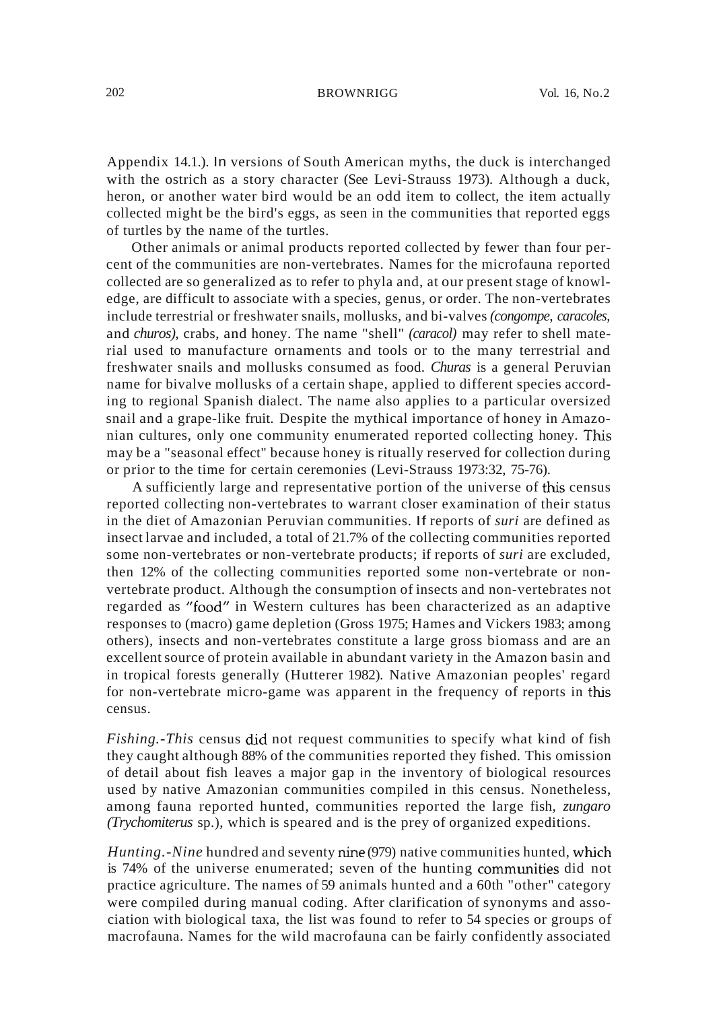Appendix 14.1.). In versions of South American myths, the duck is interchanged with the ostrich as a story character (See Levi-Strauss 1973). Although a duck, heron, or another water bird would be an odd item to collect, the item actually collected might be the bird's eggs, as seen in the communities that reported eggs of turtles by the name of the turtles.

Other animals or animal products reported collected by fewer than four percent of the communities are non-vertebrates. Names for the microfauna reported collected are so generalized as to refer to phyla and, at our present stage of knowledge, are difficult to associate with a species, genus, or order. The non-vertebrates include terrestrial or freshwater snails, mollusks, and bi-valves *(congompe, caracoles,* and *churos),* crabs, and honey. The name "shell" *(caracol)* may refer to shell material used to manufacture ornaments and tools or to the many terrestrial and freshwater snails and mollusks consumed as food. *Churas* is a general Peruvian name for bivalve mollusks of a certain shape, applied to different species according to regional Spanish dialect. The name also applies to a particular oversized snail and a grape-like fruit. Despite the mythical importance of honey in Amazonian cultures, only one community enumerated reported collecting honey. *This* may be a "seasonal effect" because honey is ritually reserved for collection during or prior to the time for certain ceremonies (Levi-Strauss 1973:32, 75-76).

A sufficiently large and representative portion of the universe of this census reported collecting non-vertebrates to warrant closer examination of their status in the diet of Amazonian Peruvian communities. If reports of *suri* are defined as insect larvae and included, a total of 21.7% of the collecting communities reported some non-vertebrates or non-vertebrate products; if reports of *suri* are excluded, then 12% of the collecting communities reported some non-vertebrate or nonvertebrate product. Although the consumption of insects and non-vertebrates not regarded as "food" in Western cultures has been characterized as an adaptive responses to (macro) game depletion (Gross 1975; Hames and Vickers 1983; among others), insects and non-vertebrates constitute a large gross biomass and are an excellent source of protein available in abundant variety in the Amazon basin and in tropical forests generally (Hutterer 1982). Native Amazonian peoples' regard for non-vertebrate micro-game was apparent in the frequency of reports in this census.

*Fishing.-This* census did not request communities to specify what kind of fish they caught although 88% of the communities reported they fished. This omission of detail about fish leaves a major gap in the inventory of biological resources used by native Amazonian communities compiled in this census. Nonetheless, among fauna reported hunted, communities reported the large fish, *zungaro (Trychomiterus* sp.), which is speared and is the prey of organized expeditions.

*Hunting.-Nine* hundred and seventy nine (979) native communities hunted, which is 74% of the universe enumerated; seven of the hunting communities did not practice agriculture. The names of 59 animals hunted and a 60th "other" category were compiled during manual coding. After clarification of synonyms and association with biological taxa, the list was found to refer to 54 species or groups of macrofauna. Names for the wild macrofauna can be fairly confidently associated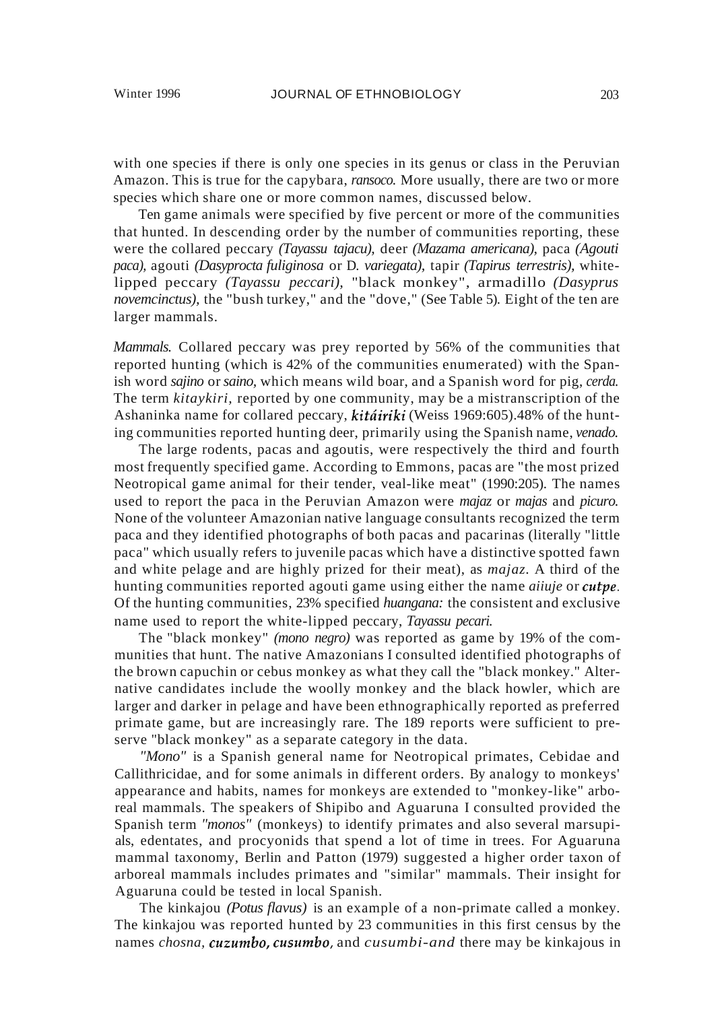with one species if there is only one species in its genus or class in the Peruvian Amazon. This is true for the capybara, *ransoco.* More usually, there are two or more species which share one or more common names, discussed below.

Ten game animals were specified by five percent or more of the communities that hunted. In descending order by the number of communities reporting, these were the collared peccary *(Tayassu tajacu),* deer *(Mazama americana),* paca *(Agouti paca),* agouti *(Dasyprocta fuliginosa* or D. *variegata),* tapir *(Tapirus terrestris),* whitelipped peccary *(Tayassu peccari),* "black monkey", armadillo *(Dasyprus novemcinctus),* the "bush turkey," and the "dove," (See Table 5). Eight of the ten are larger mammals.

*Mammals.* Collared peccary was prey reported by 56% of the communities that reported hunting (which is 42% of the communities enumerated) with the Spanish word *sajino* or *saino,* which means wild boar, and a Spanish word for pig, *cerda.* The term *kitaykiri,* reported by one community, may be a mistranscription of the Ashaninka name for collared peccary, **kitáiriki** (Weiss 1969:605).48% of the hunting communities reported hunting deer, primarily using the Spanish name, *venado.*

The large rodents, pacas and agoutis, were respectively the third and fourth most frequently specified game. According to Emmons, pacas are "the most prized Neotropical game animal for their tender, veal-like meat" (1990:205). The names used to report the paca in the Peruvian Amazon were *majaz* or *majas* and *picuro.* None of the volunteer Amazonian native language consultants recognized the term paca and they identified photographs of both pacas and pacarinas (literally "little paca" which usually refers to juvenile pacas which have a distinctive spotted fawn and white pelage and are highly prized for their meat), as *majaz.* A third of the hunting communities reported agouti game using either the name *aiiuje* or *ClItpe.* Of the hunting communities, 23% specified *huangana:* the consistent and exclusive name used to report the white-lipped peccary, *Tayassu pecari.*

The "black monkey" *(mono negro)* was reported as game by 19% of the communities that hunt. The native Amazonians I consulted identified photographs of the brown capuchin or cebus monkey as what they call the "black monkey." Alternative candidates include the woolly monkey and the black howler, which are larger and darker in pelage and have been ethnographically reported as preferred primate game, but are increasingly rare. The 189 reports were sufficient to preserve "black monkey" as a separate category in the data.

*"Mono"* is a Spanish general name for Neotropical primates, Cebidae and Callithricidae, and for some animals in different orders. By analogy to monkeys' appearance and habits, names for monkeys are extended to "monkey-like" arboreal mammals. The speakers of Shipibo and Aguaruna I consulted provided the Spanish term *"monos"* (monkeys) to identify primates and also several marsupials, edentates, and procyonids that spend a lot of time in trees. For Aguaruna mammal taxonomy, Berlin and Patton (1979) suggested a higher order taxon of arboreal mammals includes primates and "similar" mammals. Their insight for Aguaruna could be tested in local Spanish.

The kinkajou *(Potus flavus)* is an example of a non-primate called a monkey. The kinkajou was reported hunted by 23 communities in this first census by the names *chosna*, *cuzumbo, cusumbo,* and *cusumbi-and* there may be kinkajous in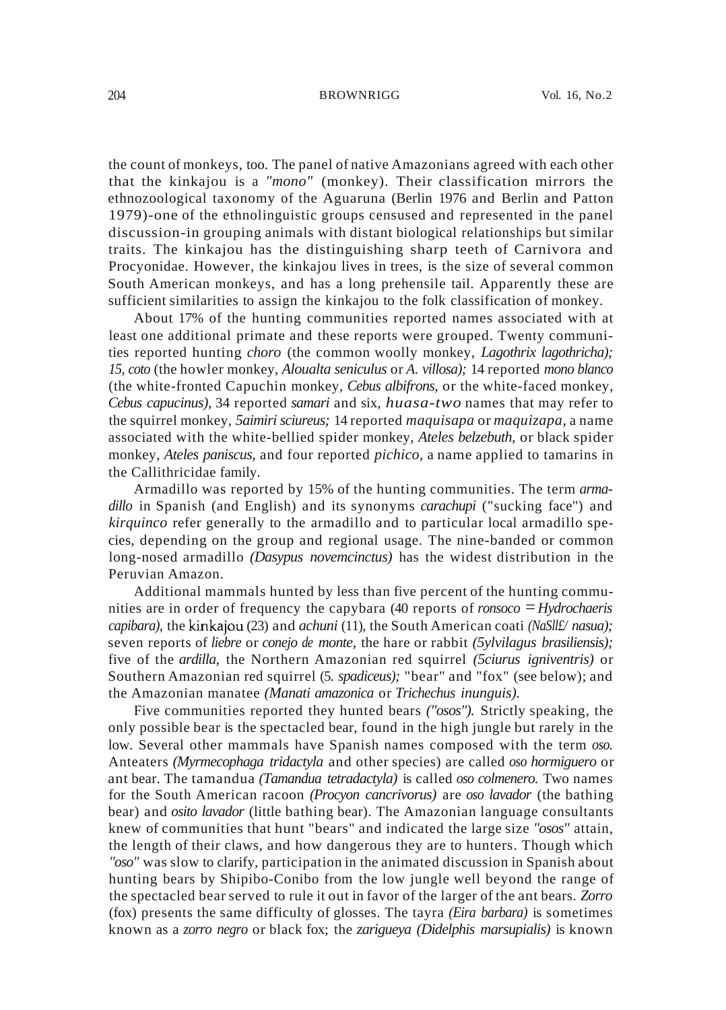the count of monkeys, too. The panel of native Amazonians agreed with each other that the kinkajou is a *"mono"* (monkey). Their classification mirrors the ethnozoological taxonomy of the Aguaruna (Berlin 1976 and Berlin and Patton 1979)-one of the ethnolinguistic groups censused and represented in the panel discussion-in grouping animals with distant biological relationships but similar traits. The kinkajou has the distinguishing sharp teeth of Carnivora and Procyonidae. However, the kinkajou lives in trees, is the size of several common South American monkeys, and has a long prehensile tail. Apparently these are sufficient similarities to assign the kinkajou to the folk classification of monkey.

About 17% of the hunting communities reported names associated with at least one additional primate and these reports were grouped. Twenty communities reported hunting *choro* (the common woolly monkey, *Lagothrix lagothricha); 15, coto* (the howler monkey, *Aloualta seniculus* or *A. villosa);* 14 reported *mono blanco* (the white-fronted Capuchin monkey, *Cebus albifrons,* or the white-faced monkey, *Cebus capucinus),* 34 reported *samari* and six, *huasa-two* names that may refer to the squirrel monkey, *5aimiri sciureus;* 14 reported *maquisapa* or *maquizapa,* a name associated with the white-bellied spider monkey, *Ateles belzebuth,* or black spider monkey, *Ateles paniscus,* and four reported *pichico,* a name applied to tamarins in the Callithricidae family.

Armadillo was reported by 15% of the hunting communities. The term *armadillo* in Spanish (and English) and its synonyms *carachupi* ("sucking face") and *kirquinco* refer generally to the armadillo and to particular local armadillo species, depending on the group and regional usage. The nine-banded or common long-nosed armadillo *(Dasypus novemcinctus)* has the widest distribution in the Peruvian Amazon.

Additional mammals hunted by less than five percent of the hunting communities are in order of frequency the capybara (40 reports of *ronsoco* = *Hydrochaeris capibara),* the kinkajou (23) and *achuni* (11), the South American coati *(NaSll£/ nasua);* seven reports of *liebre* or *conejo de monte,* the hare or rabbit *(5ylvilagus brasiliensis);* five of the *ardilla,* the Northern Amazonian red squirrel *(5ciurus igniventris)* or Southern Amazonian red squirrel (5. *spadiceus);* "bear" and "fox" (see below); and the Amazonian manatee *(Manati amazonica* or *Trichechus inunguis).*

Five communities reported they hunted bears *("osos").* Strictly speaking, the only possible bear is the spectacled bear, found in the high jungle but rarely in the low. Several other mammals have Spanish names composed with the term *oso.* Anteaters *(Myrmecophaga tridactyla* and other species) are called *oso hormiguero* or ant bear. The tamandua *(Tamandua tetradactyla)* is called *oso colmenero.* Two names for the South American racoon *(Procyon cancrivorus)* are *oso lavador* (the bathing bear) and *osito lavador* (little bathing bear). The Amazonian language consultants knew of communities that hunt "bears" and indicated the large size *"osos"* attain, the length of their claws, and how dangerous they are to hunters. Though which *"oso"* was slow to clarify, participation in the animated discussion in Spanish about hunting bears by Shipibo-Conibo from the low jungle well beyond the range of the spectacled bear served to rule it out in favor of the larger of the ant bears. *Zorro* (fox) presents the same difficulty of glosses. The tayra *(Eira barbara)* is sometimes known as a *zorro negro* or black fox; the *zarigueya (Didelphis marsupialis)* is known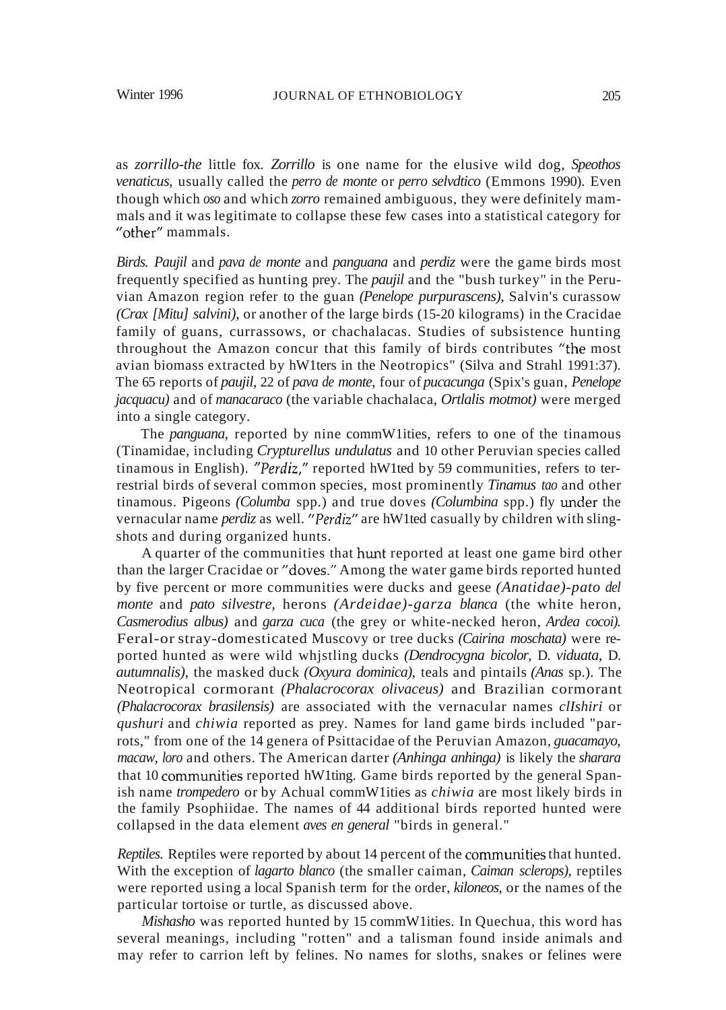as *zorrillo-the* little fox. *Zorrillo* is one name for the elusive wild dog, *Speothos venaticus,* usually called the *perro de monte* or *perro selvdtico* (Emmons 1990). Even though which *oso* and which *zorro* remained ambiguous, they were definitely mammals and it was legitimate to collapse these few cases into a statistical category for "other" mammals.

*Birds. Paujil* and *pava de monte* and *panguana* and *perdiz* were the game birds most frequently specified as hunting prey. The *paujil* and the "bush turkey" in the Peruvian Amazon region refer to the guan *(Penelope purpurascens),* Salvin's curassow *(Crax [Mitu] salvini),* or another of the large birds (15-20 kilograms) in the Cracidae family of guans, currassows, or chachalacas. Studies of subsistence hunting throughout the Amazon concur that this family of birds contributes "the most avian biomass extracted by hW1ters in the Neotropics" (Silva and Strahl 1991:37). The 65 reports of *paujil,* 22 of *pava de monte,* four of *pucacunga* (Spix's guan, *Penelope jacquacu)* and of *manacaraco* (the variable chachalaca, *Ortlalis motmot)* were merged into a single category.

The *panguana,* reported by nine commW1ities, refers to one of the tinamous (Tinamidae, including *Crypturellus undulatus* and 10 other Peruvian species called tinamous in English). *"Perdiz,"* reported hW1ted by 59 communities, refers to terrestrial birds of several common species, most prominently *Tinamus tao* and other tinamous. Pigeons *(Columba* spp.) and true doves *(Columbina* spp.) fly under the vernacular name *perdiz* as well. *"Perdiz"* are hW1ted casually by children with slingshots and during organized hunts.

A quarter of the communities that hunt reported at least one game bird other than the larger Cracidae or "doves." Among the water game birds reported hunted by five percent or more communities were ducks and geese *(Anatidae)-pato del monte* and *pato silvestre,* herons *(Ardeidae)-garza blanca* (the white heron, *Casmerodius albus)* and *garza cuca* (the grey or white-necked heron, *Ardea cocoi).* Feral-or stray-domesticated Muscovy or tree ducks *(Cairina moschata)* were reported hunted as were wild whjstling ducks *(Dendrocygna bicolor,* D. *viduata,* D. *autumnalis),* the masked duck *(Oxyura dominica),* teals and pintails *(Anas* sp.). The Neotropical cormorant *(Phalacrocorax olivaceus)* and Brazilian cormorant *(Phalacrocorax brasilensis)* are associated with the vernacular names *clIshiri* or *qushuri* and *chiwia* reported as prey. Names for land game birds included "parrots," from one of the 14 genera of Psittacidae of the Peruvian Amazon, *guacamayo, macaw, loro* and others. The American darter *(Anhinga anhinga)* is likely the *sharara* that 10 commuruties reported hW1ting. Game birds reported by the general Spanish name *trompedero* or by Achual commW1ities as *chiwia* are most likely birds in the family Psophiidae. The names of 44 additional birds reported hunted were collapsed in the data element *aves en general* "birds in general."

*Reptiles.* Reptiles were reported by about 14 percent of the communities that hunted. With the exception of *lagarto blanco* (the smaller caiman, *Caiman sclerops),* reptiles were reported using a local Spanish term for the order, *kiloneos,* or the names of the particular tortoise or turtle, as discussed above.

*Mishasho* was reported hunted by 15 commW1ities. In Quechua, this word has several meanings, including "rotten" and a talisman found inside animals and may refer to carrion left by felines. No names for sloths, snakes or felines were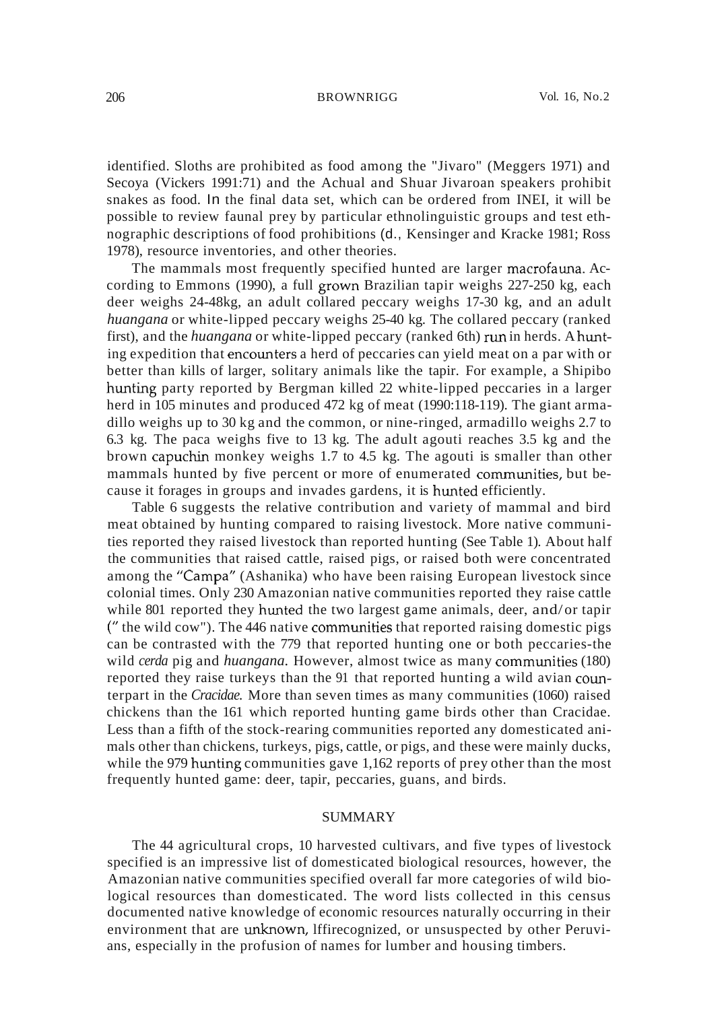identified. Sloths are prohibited as food among the "Jivaro" (Meggers 1971) and Secoya (Vickers 1991:71) and the Achual and Shuar Jivaroan speakers prohibit snakes as food. In the final data set, which can be ordered from INEI, it will be possible to review faunal prey by particular ethnolinguistic groups and test ethnographic descriptions of food prohibitions (d., Kensinger and Kracke 1981; Ross 1978), resource inventories, and other theories.

The mammals most frequently specified hunted are larger macrofauna. According to Emmons (1990), a full grown Brazilian tapir weighs 227-250 kg, each deer weighs 24-48kg, an adult collared peccary weighs 17-30 kg, and an adult *huangana* or white-lipped peccary weighs 25-40 kg. The collared peccary (ranked first), and the *huangana* or white-lipped peccary (ranked 6th) run in herds. A hunting expedition that encounters a herd of peccaries can yield meat on a par with or better than kills of larger, solitary animals like the tapir. For example, a Shipibo hunting party reported by Bergman killed 22 white-lipped peccaries in a larger herd in 105 minutes and produced 472 kg of meat (1990:118-119). The giant armadillo weighs up to 30 kg and the common, or nine-ringed, armadillo weighs 2.7 to 6.3 kg. The paca weighs five to 13 kg. The adult agouti reaches 3.5 kg and the brown capuchin monkey weighs 1.7 to 4.5 kg. The agouti is smaller than other mammals hunted by five percent or more of enumerated communities, but because it forages in groups and invades gardens, it is hunted efficiently.

Table 6 suggests the relative contribution and variety of mammal and bird meat obtained by hunting compared to raising livestock. More native communities reported they raised livestock than reported hunting (See Table 1). About half the communities that raised cattle, raised pigs, or raised both were concentrated among the "Campa" (Ashanika) who have been raising European livestock since colonial times. Only 230 Amazonian native communities reported they raise cattle while 801 reported they hunted the two largest game animals, deer, and/or tapir ( $"$  the wild cow"). The 446 native communities that reported raising domestic pigs can be contrasted with the 779 that reported hunting one or both peccaries-the wild *cerda* pig and *huangana*. However, almost twice as many communities (180) reported they raise turkeys than the 91 that reported hunting a wild avian counterpart in the *Cracidae.* More than seven times as many communities (1060) raised chickens than the 161 which reported hunting game birds other than Cracidae. Less than a fifth of the stock-rearing communities reported any domesticated animals other than chickens, turkeys, pigs, cattle, or pigs, and these were mainly ducks, while the 979 hunting communities gave  $1,162$  reports of prey other than the most frequently hunted game: deer, tapir, peccaries, guans, and birds.

### SUMMARY

The 44 agricultural crops, 10 harvested cultivars, and five types of livestock specified is an impressive list of domesticated biological resources, however, the Amazonian native communities specified overall far more categories of wild biological resources than domesticated. The word lists collected in this census documented native knowledge of economic resources naturally occurring in their environment that are unknown, lffirecognized, or unsuspected by other Peruvians, especially in the profusion of names for lumber and housing timbers.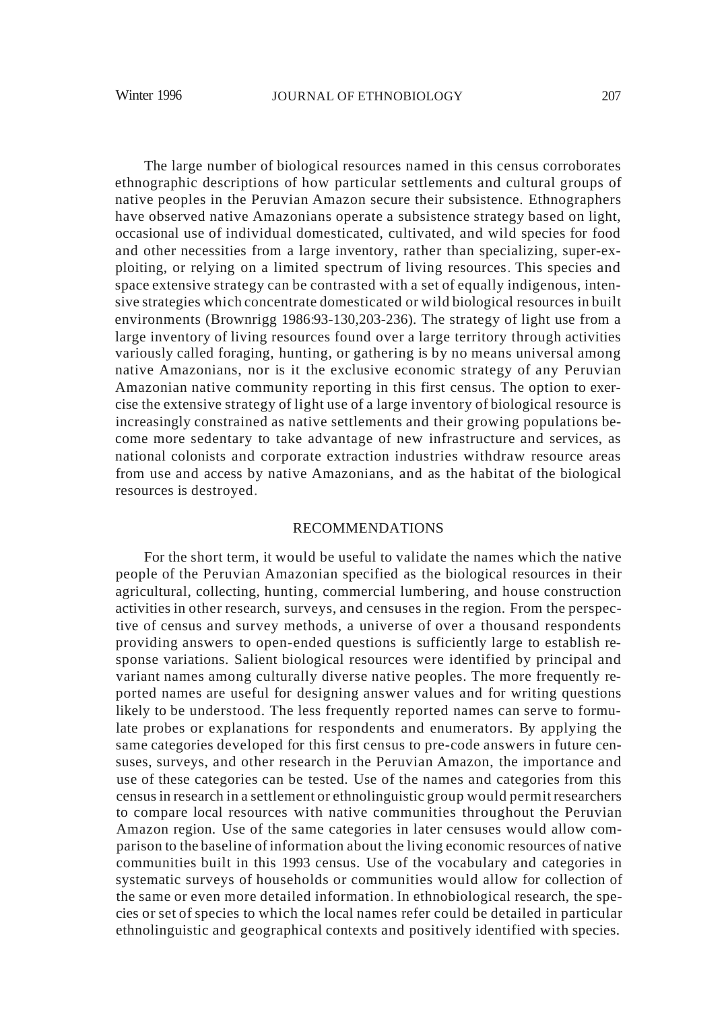The large number of biological resources named in this census corroborates ethnographic descriptions of how particular settlements and cultural groups of native peoples in the Peruvian Amazon secure their subsistence. Ethnographers have observed native Amazonians operate a subsistence strategy based on light, occasional use of individual domesticated, cultivated, and wild species for food and other necessities from a large inventory, rather than specializing, super-exploiting, or relying on a limited spectrum of living resources. This species and space extensive strategy can be contrasted with a set of equally indigenous, intensive strategies which concentrate domesticated or wild biological resources in built environments (Brownrigg 1986:93-130,203-236). The strategy of light use from a large inventory of living resources found over a large territory through activities variously called foraging, hunting, or gathering is by no means universal among native Amazonians, nor is it the exclusive economic strategy of any Peruvian Amazonian native community reporting in this first census. The option to exercise the extensive strategy of light use of a large inventory of biological resource is increasingly constrained as native settlements and their growing populations become more sedentary to take advantage of new infrastructure and services, as national colonists and corporate extraction industries withdraw resource areas from use and access by native Amazonians, and as the habitat of the biological resources is destroyed.

# RECOMMENDATIONS

For the short term, it would be useful to validate the names which the native people of the Peruvian Amazonian specified as the biological resources in their agricultural, collecting, hunting, commercial lumbering, and house construction activities in other research, surveys, and censuses in the region. From the perspective of census and survey methods, a universe of over a thousand respondents providing answers to open-ended questions is sufficiently large to establish response variations. Salient biological resources were identified by principal and variant names among culturally diverse native peoples. The more frequently reported names are useful for designing answer values and for writing questions likely to be understood. The less frequently reported names can serve to formulate probes or explanations for respondents and enumerators. By applying the same categories developed for this first census to pre-code answers in future censuses, surveys, and other research in the Peruvian Amazon, the importance and use of these categories can be tested. Use of the names and categories from this censusin research in a settlement or ethnolinguistic group would permit researchers to compare local resources with native communities throughout the Peruvian Amazon region. Use of the same categories in later censuses would allow comparison to the baseline of information about the living economic resources of native communities built in this 1993 census. Use of the vocabulary and categories in systematic surveys of households or communities would allow for collection of the same or even more detailed information. In ethnobiological research, the species or set of species to which the local names refer could be detailed in particular ethnolinguistic and geographical contexts and positively identified with species.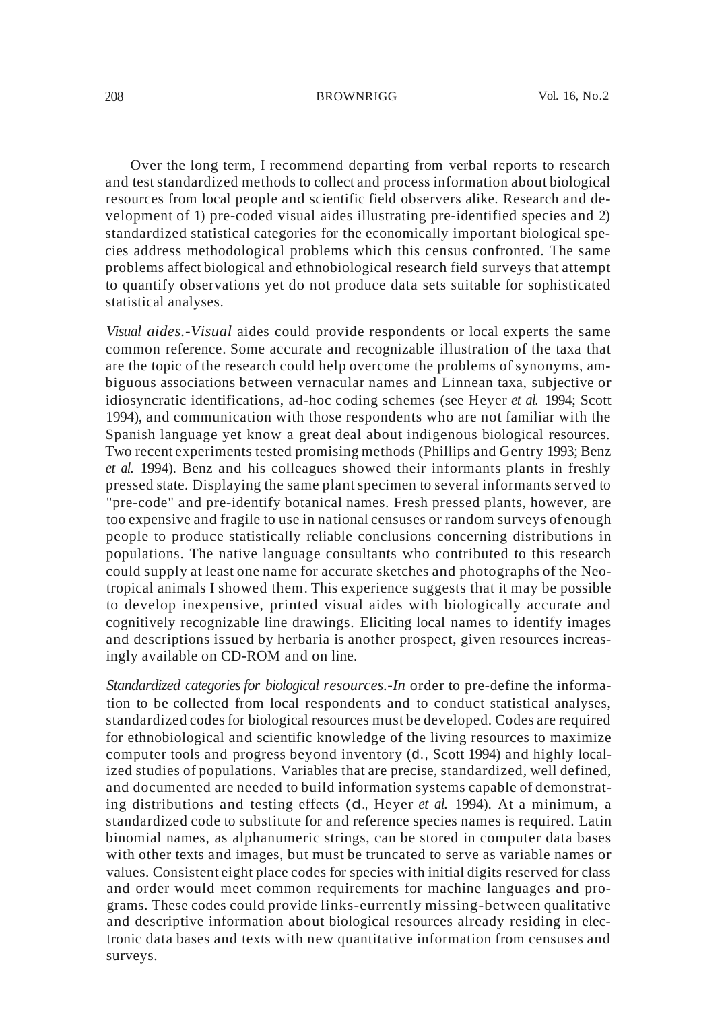Over the long term, I recommend departing from verbal reports to research and test standardized methods to collect and process information about biological resources from local people and scientific field observers alike. Research and development of 1) pre-coded visual aides illustrating pre-identified species and 2) standardized statistical categories for the economically important biological species address methodological problems which this census confronted. The same problems affect biological and ethnobiological research field surveys that attempt to quantify observations yet do not produce data sets suitable for sophisticated statistical analyses.

*Visual aides.-Visual* aides could provide respondents or local experts the same common reference. Some accurate and recognizable illustration of the taxa that are the topic of the research could help overcome the problems of synonyms, ambiguous associations between vernacular names and Linnean taxa, subjective or idiosyncratic identifications, ad-hoc coding schemes (see Heyer *et al.* 1994; Scott 1994), and communication with those respondents who are not familiar with the Spanish language yet know a great deal about indigenous biological resources. Two recent experiments tested promising methods (Phillips and Gentry 1993; Benz *et al.* 1994). Benz and his colleagues showed their informants plants in freshly pressed state. Displaying the same plant specimen to several informants served to "pre-code" and pre-identify botanical names. Fresh pressed plants, however, are too expensive and fragile to use in national censuses or random surveys of enough people to produce statistically reliable conclusions concerning distributions in populations. The native language consultants who contributed to this research could supply at least one name for accurate sketches and photographs of the Neotropical animals I showed them. This experience suggests that it may be possible to develop inexpensive, printed visual aides with biologically accurate and cognitively recognizable line drawings. Eliciting local names to identify images and descriptions issued by herbaria is another prospect, given resources increasingly available on CD-ROM and on line.

*Standardized categories for biological resources.-In* order to pre-define the information to be collected from local respondents and to conduct statistical analyses, standardized codes for biological resources must be developed. Codes are required for ethnobiological and scientific knowledge of the living resources to maximize computer tools and progress beyond inventory (d., Scott 1994) and highly localized studies of populations. Variables that are precise, standardized, well defined, and documented are needed to build information systems capable of demonstrating distributions and testing effects (d., Heyer *et al.* 1994). At a minimum, a standardized code to substitute for and reference species names is required. Latin binomial names, as alphanumeric strings, can be stored in computer data bases with other texts and images, but must be truncated to serve as variable names or values. Consistent eight place codes for species with initial digits reserved for class and order would meet common requirements for machine languages and programs. These codes could provide links-eurrently missing-between qualitative and descriptive information about biological resources already residing in electronic data bases and texts with new quantitative information from censuses and surveys.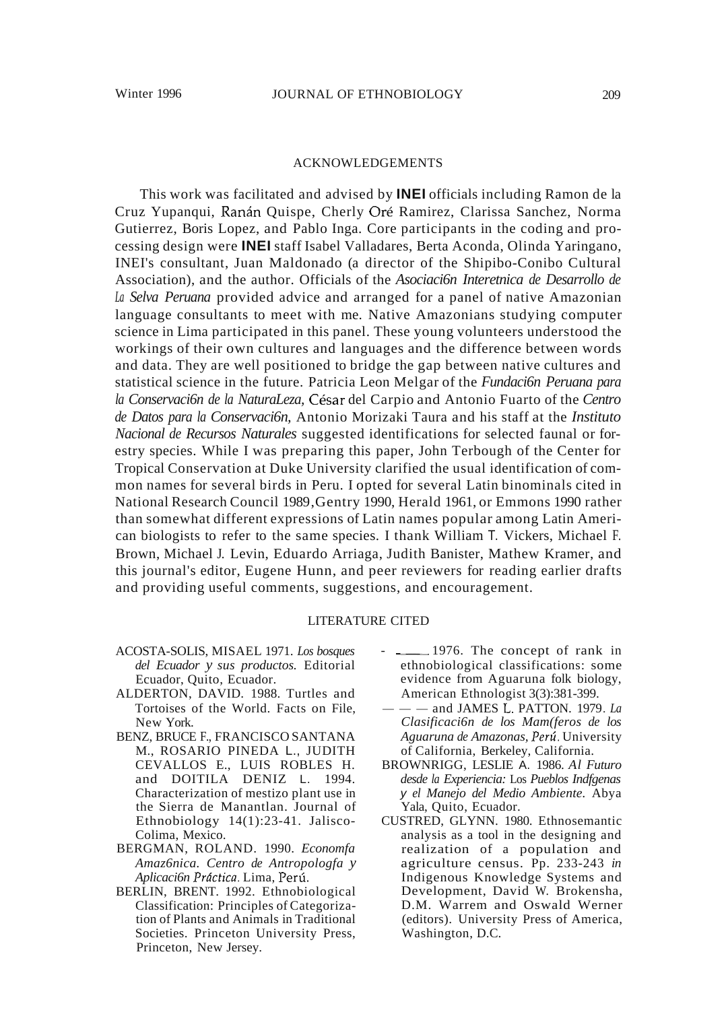#### 209

# ACKNOWLEDGEMENTS

This work was facilitated and advised by **INEI** officials including Ramon de la Cruz Yupanqui, Ranan Quispe, Cherly Ore Ramirez, Clarissa Sanchez, Norma Gutierrez, Boris Lopez, and Pablo Inga. Core participants in the coding and processing design were **INEI** staff Isabel Valladares, Berta Aconda, Olinda Yaringano, INEI's consultant, Juan Maldonado (a director of the Shipibo-Conibo Cultural Association), and the author. Officials of the *Asociaci6n Interetnica de Desarrollo de La Selva Peruana* provided advice and arranged for a panel of native Amazonian language consultants to meet with me. Native Amazonians studying computer science in Lima participated in this panel. These young volunteers understood the workings of their own cultures and languages and the difference between words and data. They are well positioned to bridge the gap between native cultures and statistical science in the future. Patricia Leon Melgar of the *Fundaci6n Peruana para la Conservaci6n de la NaturaLeza,* Cesar del Carpio and Antonio Fuarto of the *Centro de Datos para la Conservaci6n,* Antonio Morizaki Taura and his staff at the *Instituto Nacional de Recursos Naturales* suggested identifications for selected faunal or forestry species. While I was preparing this paper, John Terbough of the Center for Tropical Conservation at Duke University clarified the usual identification of common names for several birds in Peru. I opted for several Latin binominals cited in National Research Council 1989,Gentry 1990, Herald 1961, or Emmons 1990 rather than somewhat different expressions of Latin names popular among Latin American biologists to refer to the same species. I thank William T. Vickers, Michael F. Brown, Michael J. Levin, Eduardo Arriaga, Judith Banister, Mathew Kramer, and this journal's editor, Eugene Hunn, and peer reviewers for reading earlier drafts and providing useful comments, suggestions, and encouragement.

# LITERATURE CITED

- ACOSTA-SOLIS, MISAEL 1971. *Los bosques del Ecuador y sus productos.* Editorial Ecuador, Quito, Ecuador.
- ALDERTON, DAVID. 1988. Turtles and Tortoises of the World. Facts on File, New York.
- BENZ, BRUCE F., FRANCISCO SANTANA M., ROSARIO PINEDA L., JUDITH CEVALLOS E., LUIS ROBLES H. and DOITILA DENIZ L. 1994. Characterization of mestizo plant use in the Sierra de Manantlan. Journal of Ethnobiology 14(1):23-41. Jalisco-Colima, Mexico.
- BERGMAN, ROLAND. 1990. *Economfa Amaz6nica. Centro de Antropologfa y Aplicaci6n Prtktica.* Lima, Peru.
- BERLIN, BRENT. 1992. Ethnobiological Classification: Principles of Categorization of Plants and Animals in Traditional Societies. Princeton University Press, Princeton, New Jersey.
- 1976. The concept of rank in ethnobiological classifications: some evidence from Aguaruna folk biology, American Ethnologist 3(3):381-399.
- ---and JAMES L. PATTON. 1979. *La Clasificaci6n de los Mam(feros de los Aguaruna de Amazonas, Peru.* University of California, Berkeley, California.
- BROWNRIGG, LESLIE A. 1986. *Al Futuro desde la Experiencia:* Los *Pueblos Indfgenas* y *el Manejo del Medio Ambiente.* Abya Yala, Quito, Ecuador.
- CUSTRED, GLYNN. 1980. Ethnosemantic analysis as a tool in the designing and realization of a population and agriculture census. Pp. 233-243 *in* Indigenous Knowledge Systems and Development, David W. Brokensha, D.M. Warrem and Oswald Werner (editors). University Press of America, Washington, D.C.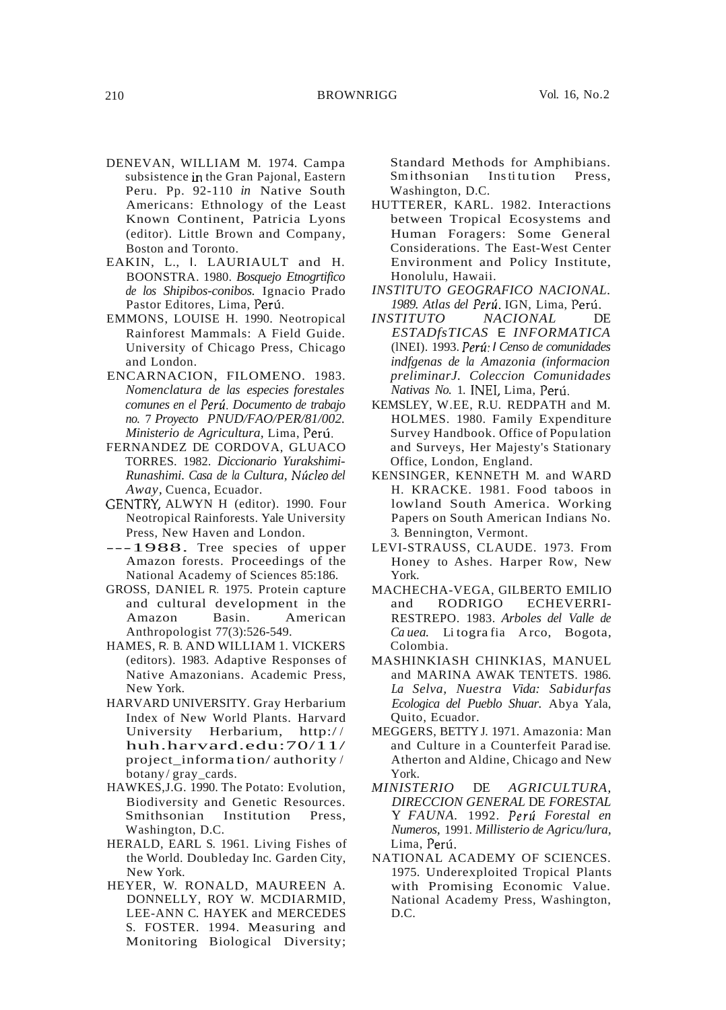- DENEVAN, WILLIAM M. 1974. Campa subsistence in the Gran Pajonal, Eastern Peru. Pp. 92-110 *in* Native South Americans: Ethnology of the Least Known Continent, Patricia Lyons (editor). Little Brown and Company, Boston and Toronto.
- EAKIN, L., I. LAURIAULT and H. BOONSTRA. 1980. *Bosquejo Etnogrtifico de los Shipibos-conibos.* Ignacio Prado Pastor Editores, Lima, Perú.
- EMMONS, LOUISE H. 1990. Neotropical Rainforest Mammals: A Field Guide. University of Chicago Press, Chicago and London.
- ENCARNACION, FILOMENO. 1983. *Nomenclatura de las especies forestales comunes en el Peru. Documento de trabajo no.* 7 *Proyecto PNUD/FAO/PER/81/002. Ministerio de Agricultura,* Lima, Peru.
- FERNANDEZ DE CORDOVA, GLUACO TORRES. 1982. *Diccionario Yurakshimi-Runashimi. Casa de la Cultura,* Nl~cleo *del Away,* Cuenca, Ecuador.
- GENTRY, ALWYN H (editor). 1990. Four Neotropical Rainforests. Yale University Press, New Haven and London.
- ---1988. Tree species of upper Amazon forests. Proceedings of the National Academy of Sciences 85:186.
- GROSS, DANIEL R. 1975. Protein capture and cultural development in the Amazon Basin. American Anthropologist 77(3):526-549.
- HAMES, R. B. AND WILLIAM 1. VICKERS (editors). 1983. Adaptive Responses of Native Amazonians. Academic Press, New York.
- HARVARD UNIVERSITY. Gray Herbarium Index of New World Plants. Harvard University Herbarium, http:/ / huh.harvard.edu:70/11/ project\_informa tion/ authority / botany/ gray\_cards.
- HAWKES,J.G. 1990. The Potato: Evolution, Biodiversity and Genetic Resources. Smithsonian Institution Press, Washington, D.C.
- HERALD, EARL S. 1961. Living Fishes of the World. Doubleday Inc. Garden City, New York.
- HEYER, W. RONALD, MAUREEN A. DONNELLY, ROY W. MCDIARMID, LEE-ANN C. HAYEK and MERCEDES S. FOSTER. 1994. Measuring and Monitoring Biological Diversity;

Standard Methods for Amphibians.<br>Smithsonian Institution Press, Institution Press, Washington, D.C.

- HUTTERER, KARL. 1982. Interactions between Tropical Ecosystems and Human Foragers: Some General Considerations. The East-West Center Environment and Policy Institute, Honolulu, Hawaii.
- *INSTlTUTO GEOGRAFICO NACIONAL. 1989. Atlas del Peru.* IGN, Lima, Peru.
- *INSTITUTO NACIONAL* DE *ESTADfsTICAS* E *INFORMATICA* (lNEI). 1993. *Peru:* I *Censo de comunidades indfgenas de la Amazonia (informacion preliminarJ. Coleccion Comunidades Nativas No.* 1. INEI, Lima, Peru.
- KEMSLEY, W.EE, R.U. REDPATH and M. HOLMES. 1980. Family Expenditure Survey Handbook. Office of Popu lation and Surveys, Her Majesty's Stationary Office, London, England.
- KENSINGER, KENNETH M. and WARD H. KRACKE. 1981. Food taboos in lowland South America. Working Papers on South American Indians No. 3. Bennington, Vermont.
- LEVI-STRAUSS, CLAUDE. 1973. From Honey to Ashes. Harper Row, New York.
- MACHECHA-VEGA, GILBERTO EMILIO<br>and RODRIGO ECHEVERRI-ECHEVERRI-RESTREPO. 1983. *Arboles del Valle de Ca uea.* Li togra fia A rco, Bogota, Colombia.
- MASHINKIASH CHINKIAS, MANUEL and MARINA AWAK TENTETS. 1986. *La Selva, Nuestra Vida: Sabidurfas Ecologica del Pueblo Shuar.* Abya Yala, Quito, Ecuador.
- MEGGERS, BETTY J. 1971. Amazonia: Man and Culture in a Counterfeit Parad ise. Atherton and Aldine, Chicago and New York.
- *MINISTERIO* DE *AGRICULTURA, DIRECCION GENERAL* DE *FORESTAL* Y *FAUNA.* 1992. *Peru Forestal en Numeros,* 1991. *Millisterio de Agricu/lura,* Lima, Perú.
- NATIONAL ACADEMY OF SCIENCES. 1975. Underexploited Tropical Plants with Promising Economic Value. National Academy Press, Washington, D.C.